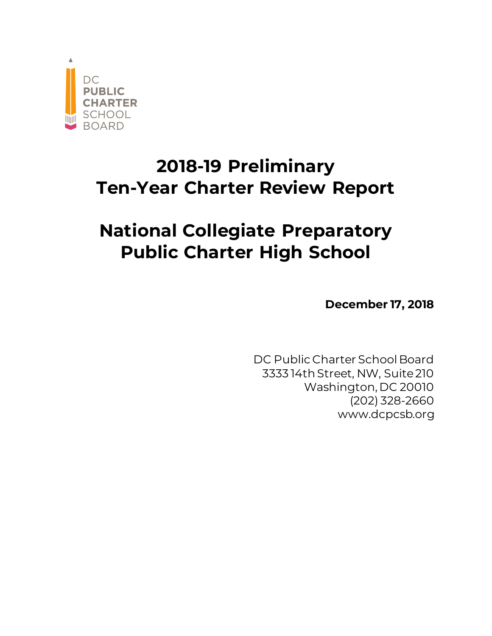

# **2018-19 Preliminary Ten-Year Charter Review Report**

# **National Collegiate Preparatory Public Charter High School**

**December 17, 2018**

DC Public Charter School Board 3333 14th Street, NW, Suite 210 Washington, DC 20010 (202) 328-2660 www.dcpcsb.org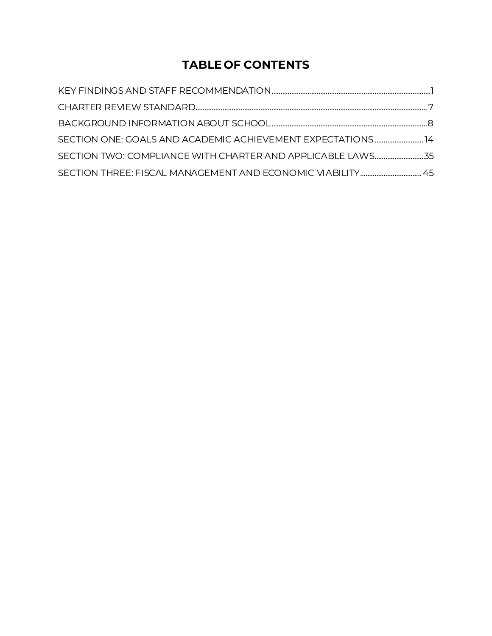# **TABLE OF CONTENTS**

| SECTION ONE: GOALS AND ACADEMIC ACHIEVEMENT EXPECTATIONS14 |  |
|------------------------------------------------------------|--|
| SECTION TWO: COMPLIANCE WITH CHARTER AND APPLICABLE LAWS35 |  |
|                                                            |  |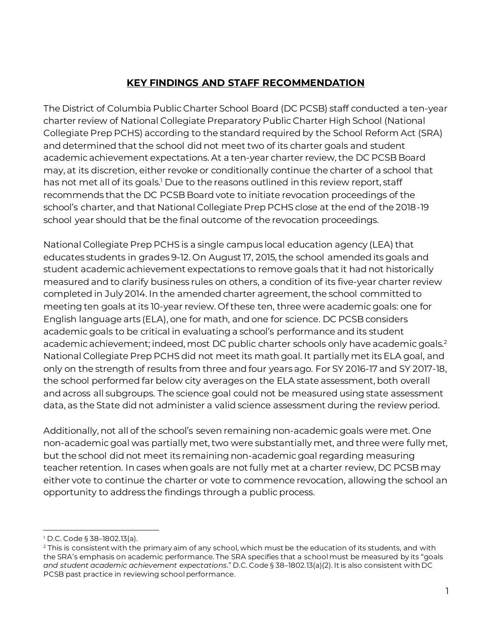# **KEY FINDINGS AND STAFF RECOMMENDATION**

<span id="page-2-0"></span>The District of Columbia Public Charter School Board (DC PCSB) staff conducted a ten-year charter review of National Collegiate Preparatory Public Charter High School (National Collegiate Prep PCHS) according to the standard required by the School Reform Act (SRA) and determined that the school did not meet two of its charter goals and student academic achievement expectations. At a ten-year charter review, the DC PCSB Board may, at its discretion, either revoke or conditionally continue the charter of a school that has not met all of its goals.<sup>1</sup> Due to the reasons outlined in this review report, staff recommends that the DC PCSB Board vote to initiate revocation proceedings of the school's charter, and that National Collegiate Prep PCHS close at the end of the 2018-19 school year should that be the final outcome of the revocation proceedings.

National Collegiate Prep PCHS is a single campus local education agency (LEA) that educates students in grades 9-12. On August 17, 2015, the school amended its goals and student academic achievement expectations to remove goals that it had not historically measured and to clarify business rules on others, a condition of its five-year charter review completed in July 2014. In the amended charter agreement, the school committed to meeting ten goals at its 10-year review. Of these ten, three were academic goals: one for English language arts (ELA), one for math, and one for science. DC PCSB considers academic goals to be critical in evaluating a school's performance and its student academic achievement; indeed, most DC public charter schools only have academic goals.<sup>2</sup> National Collegiate Prep PCHS did not meet its math goal. It partially met its ELA goal, and only on the strength of results from three and four years ago. For SY 2016-17 and SY 2017-18, the school performed far below city averages on the ELA state assessment, both overall and across all subgroups. The science goal could not be measured using state assessment data, as the State did not administer a valid science assessment during the review period.

Additionally, not all of the school's seven remaining non-academic goals were met. One non-academic goal was partially met, two were substantially met, and three were fully met, but the school did not meet its remaining non-academic goal regarding measuring teacher retention. In cases when goals are not fully met at a charter review, DC PCSB may either vote to continue the charter or vote to commence revocation, allowing the school an opportunity to address the findings through a public process.

l <sup>1</sup> D.C. Code § 38–1802.13(a).

<sup>&</sup>lt;sup>2</sup> This is consistent with the primary aim of any school, which must be the education of its students, and with the SRA's emphasis on academic performance. The SRA specifies that a school must be measured by its "goals *and student academic achievement expectations*." D.C. Code § 38–1802.13(a)(2). It is also consistent with DC PCSB past practice in reviewing school performance.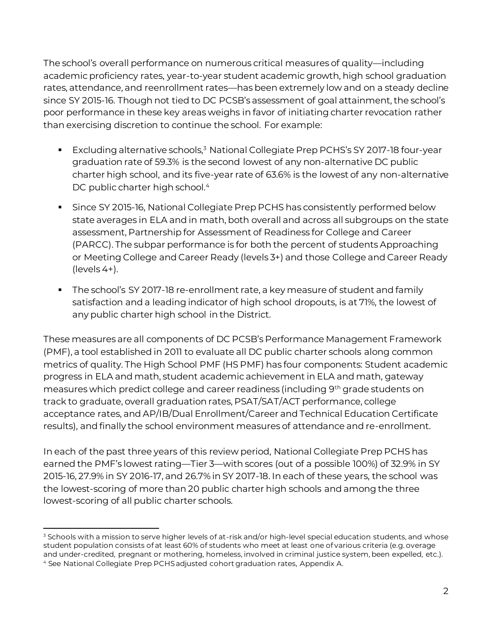The school's overall performance on numerous critical measures of quality—including academic proficiency rates, year-to-year student academic growth, high school graduation rates, attendance, and reenrollment rates—has been extremely low and on a steady decline since SY 2015-16. Though not tied to DC PCSB's assessment of goal attainment, the school's poor performance in these key areas weighs in favor of initiating charter revocation rather than exercising discretion to continue the school. For example:

- Excluding alternative schools,<sup>3</sup> National Collegiate Prep PCHS's SY 2017-18 four-year graduation rate of 59.3% is the second lowest of any non-alternative DC public charter high school, and its five-year rate of 63.6% is the lowest of any non-alternative DC public charter high school.<sup>4</sup>
- **EXPLORER SET AT ADDET SHOTE:** Since SY 2015-16, National Collegiate Prep PCHS has consistently performed below state averages in ELA and in math, both overall and across all subgroups on the state assessment, Partnership for Assessment of Readiness for College and Career (PARCC). The subpar performance is for both the percent of students Approaching or Meeting College and Career Ready (levels 3+) and those College and Career Ready (levels 4+).
- The school's SY 2017-18 re-enrollment rate, a key measure of student and family satisfaction and a leading indicator of high school dropouts, is at 71%, the lowest of any public charter high school in the District.

These measures are all components of DC PCSB's Performance Management Framework (PMF), a tool established in 2011 to evaluate all DC public charter schools along common metrics of quality. The High School PMF (HS PMF) has four components: Student academic progress in ELA and math, student academic achievement in ELA and math, gateway measures which predict college and career readiness (including 9th grade students on track to graduate, overall graduation rates, PSAT/SAT/ACT performance, college acceptance rates, and AP/IB/Dual Enrollment/Career and Technical Education Certificate results), and finally the school environment measures of attendance and re-enrollment.

In each of the past three years of this review period, National Collegiate Prep PCHS has earned the PMF's lowest rating—Tier 3—with scores (out of a possible 100%) of 32.9% in SY 2015-16, 27.9% in SY 2016-17, and 26.7% in SY 2017-18. In each of these years, the school was the lowest-scoring of more than 20 public charter high schools and among the three lowest-scoring of all public charter schools.

l <sup>3</sup> Schools with a mission to serve higher levels of at-risk and/or high-level special education students, and whose student population consists of at least 60% of students who meet at least one of various criteria (e.g. overage and under-credited, pregnant or mothering, homeless, involved in criminal justice system, been expelled, etc.). <sup>4</sup> See National Collegiate Prep PCHS adjusted cohort graduation rates, Appendix A.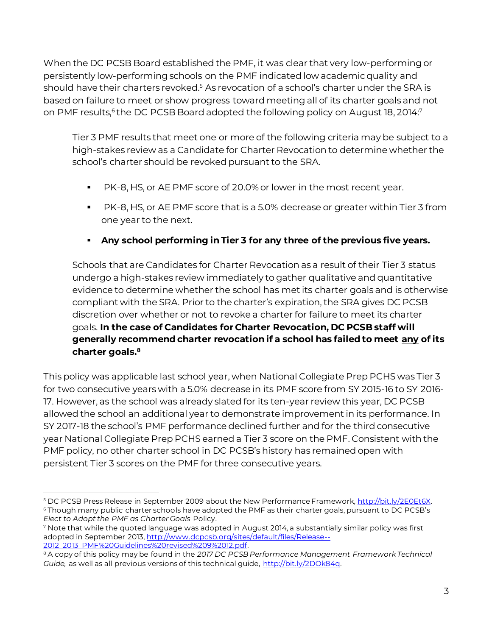When the DC PCSB Board established the PMF, it was clear that very low-performing or persistently low-performing schools on the PMF indicated low academic quality and should have their charters revoked.<sup>5</sup> As revocation of a school's charter under the SRA is based on failure to meet or show progress toward meeting all of its charter goals and not on PMF results, $^6$ the DC PCSB Board adopted the following policy on August 18, 2014: $^7$ 

Tier 3 PMF results that meet one or more of the following criteria may be subject to a high-stakes review as a Candidate for Charter Revocation to determine whether the school's charter should be revoked pursuant to the SRA.

- PK-8, HS, or AE PMF score of 20.0% or lower in the most recent year.
- PK-8, HS, or AE PMF score that is a 5.0% decrease or greater within Tier 3 from one year to the next.

# ▪ **Any school performing in Tier 3 for any three of the previous five years.**

Schools that are Candidates for Charter Revocation as a result of their Tier 3 status undergo a high-stakes review immediately to gather qualitative and quantitative evidence to determine whether the school has met its charter goals and is otherwise compliant with the SRA. Prior to the charter's expiration, the SRA gives DC PCSB discretion over whether or not to revoke a charter for failure to meet its charter goals. **In the case of Candidates for Charter Revocation, DC PCSB staff will generally recommend charter revocation if a school has failed to meet any of its charter goals. 8**

This policy was applicable last school year, when National Collegiate Prep PCHS was Tier 3 for two consecutive years with a 5.0% decrease in its PMF score from SY 2015-16 to SY 2016- 17. However, as the school was already slated for its ten-year review this year, DC PCSB allowed the school an additional year to demonstrate improvement in its performance. In SY 2017-18 the school's PMF performance declined further and for the third consecutive year National Collegiate Prep PCHS earned a Tier 3 score on the PMF. Consistent with the PMF policy, no other charter school in DC PCSB's history has remained open with persistent Tier 3 scores on the PMF for three consecutive years.

l <sup>5</sup> DC PCSB Press Release in September 2009 about the New Performance Framework[, http://bit.ly/2E0Et6X](http://bit.ly/2E0Et6X). <sup>6</sup> Though many public charter schools have adopted the PMF as their charter goals, pursuant to DC PCSB's

*Elect to Adopt the PMF as Charter Goals* Policy. <sup>7</sup> Note that while the quoted language was adopted in August 2014, a substantially similar policy was first

adopted in September 2013[, http://www.dcpcsb.org/sites/default/files/Release--](http://www.dcpcsb.org/sites/default/files/Release--2012_2013_PMF%20Guidelines%20revised%209%2012.pdf) [2012\\_2013\\_PMF%20Guidelines%20revised%209%2012.pdf.](http://www.dcpcsb.org/sites/default/files/Release--2012_2013_PMF%20Guidelines%20revised%209%2012.pdf)

<sup>8</sup> A copy of this policy may be found in the *2017 DC PCSB Performance Management Framework Technical Guide,* as well as all previous versions of this technical guide, [http://bit.ly/2DOk84q.](http://bit.ly/2DOk84q)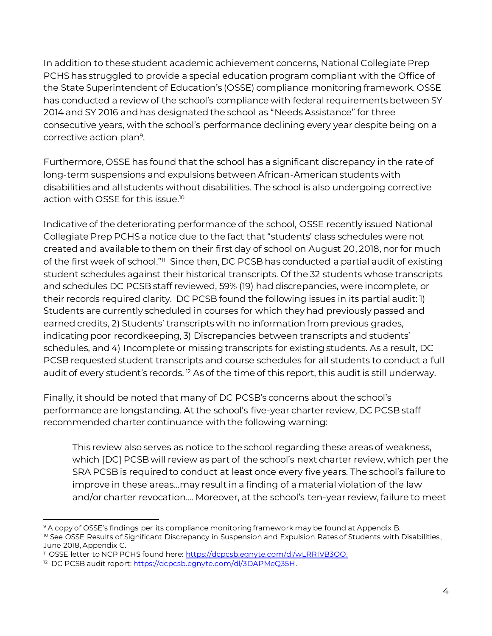In addition to these student academic achievement concerns, National Collegiate Prep PCHS has struggled to provide a special education program compliant with the Office of the State Superintendent of Education's (OSSE) compliance monitoring framework. OSSE has conducted a review of the school's compliance with federal requirements between SY 2014 and SY 2016 and has designated the school as "Needs Assistance" for three consecutive years, with the school's performance declining every year despite being on a corrective action plan<sup>9</sup> .

Furthermore, OSSE has found that the school has a significant discrepancy in the rate of long-term suspensions and expulsions between African-American students with disabilities and all students without disabilities. The school is also undergoing corrective action with OSSE for this issue.<sup>10</sup>

Indicative of the deteriorating performance of the school, OSSE recently issued National Collegiate Prep PCHS a notice due to the fact that "students' class schedules were not created and available to them on their first day of school on August 20, 2018, nor for much of the first week of school."<sup>11</sup> Since then, DC PCSB has conducted a partial audit of existing student schedules against their historical transcripts. Of the 32 students whose transcripts and schedules DC PCSB staff reviewed, 59% (19) had discrepancies, were incomplete, or their records required clarity. DC PCSB found the following issues in its partial audit: 1) Students are currently scheduled in courses for which they had previously passed and earned credits, 2) Students' transcripts with no information from previous grades, indicating poor recordkeeping, 3) Discrepancies between transcripts and students' schedules, and 4) Incomplete or missing transcripts for existing students. As a result, DC PCSB requested student transcripts and course schedules for all students to conduct a full audit of every student's records.<sup>12</sup> As of the time of this report, this audit is still underway.

Finally, it should be noted that many of DC PCSB's concerns about the school's performance are longstanding. At the school's five-year charter review, DC PCSB staff recommended charter continuance with the following warning:

This review also serves as notice to the school regarding these areas of weakness, which [DC] PCSB will review as part of the school's next charter review, which per the SRA PCSB is required to conduct at least once every five years. The school's failure to improve in these areas…may result in a finding of a material violation of the law and/or charter revocation…. Moreover, at the school's ten-year review, failure to meet

l <sup>9</sup> A copy of OSSE's findings per its compliance monitoring framework may be found at Appendix B.

<sup>&</sup>lt;sup>10</sup> See OSSE Results of Significant Discrepancy in Suspension and Expulsion Rates of Students with Disabilities, June 2018, Appendix C.

<sup>11</sup> OSSE letter to NCP PCHS found here[: https://dcpcsb.egnyte.com/dl/wLRRIVB3OO](https://dcpcsb.egnyte.com/dl/wLRRIVB3OO).

<sup>&</sup>lt;sup>12</sup> DC PCSB audit report: <u>https://dcpcsb.egnyte.com/dl/3DAPMeQ35H</u>.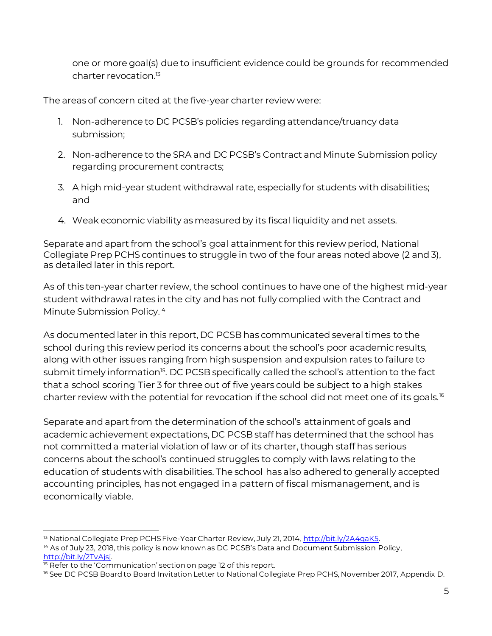one or more goal(s) due to insufficient evidence could be grounds for recommended charter revocation. 13

The areas of concern cited at the five-year charter review were:

- 1. Non-adherence to DC PCSB's policies regarding attendance/truancy data submission;
- 2. Non-adherence to the SRA and DC PCSB's Contract and Minute Submission policy regarding procurement contracts;
- 3. A high mid-year student withdrawal rate, especially for students with disabilities; and
- 4. Weak economic viability as measured by its fiscal liquidity and net assets.

Separate and apart from the school's goal attainment for this review period, National Collegiate Prep PCHS continues to struggle in two of the four areas noted above (2 and 3), as detailed later in this report.

As of this ten-year charter review, the school continues to have one of the highest mid-year student withdrawal rates in the city and has not fully complied with the Contract and Minute Submission Policy. 14

As documented later in this report, DC PCSB has communicated several times to the school during this review period its concerns about the school's poor academic results, along with other issues ranging from high suspension and expulsion rates to failure to submit timely information<sup>15</sup>. DC PCSB specifically called the school's attention to the fact that a school scoring Tier 3 for three out of five years could be subject to a high stakes charter review with the potential for revocation if the school did not meet one of its goals.<sup>16</sup>

Separate and apart from the determination of the school's attainment of goals and academic achievement expectations, DC PCSB staff has determined that the school has not committed a material violation of law or of its charter, though staff has serious concerns about the school's continued struggles to comply with laws relating to the education of students with disabilities. The school has also adhered to generally accepted accounting principles, has not engaged in a pattern of fiscal mismanagement, and is economically viable.

l <sup>13</sup> National Collegiate Prep PCHS Five-Year Charter Review, July 21, 2014,<http://bit.ly/2A4qaK5>.

<sup>&</sup>lt;sup>14</sup> As of July 23, 2018, this policy is now known as DC PCSB's Data and Document Submission Policy, [http://bit.ly/2TvAjsj.](http://bit.ly/2TvAjsj)

<sup>&</sup>lt;sup>15</sup> Refer to the 'Communication' section on page 12 of this report.

<sup>&</sup>lt;sup>16</sup> See DC PCSB Board to Board Invitation Letter to National Collegiate Prep PCHS, November 2017, Appendix D.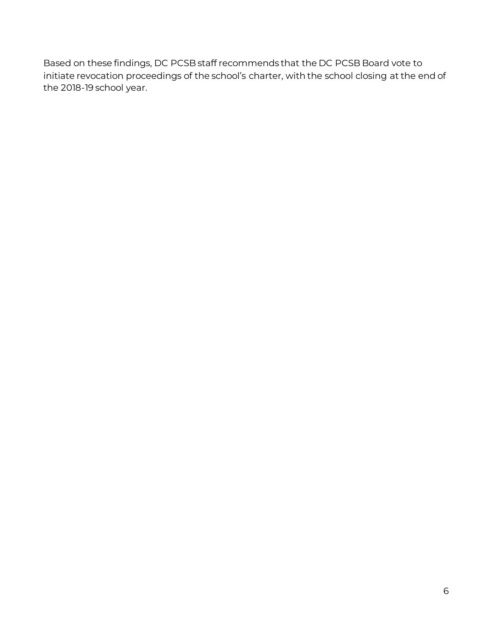Based on these findings, DC PCSB staff recommends that the DC PCSB Board vote to initiate revocation proceedings of the school's charter, with the school closing at the end of the 2018-19 school year.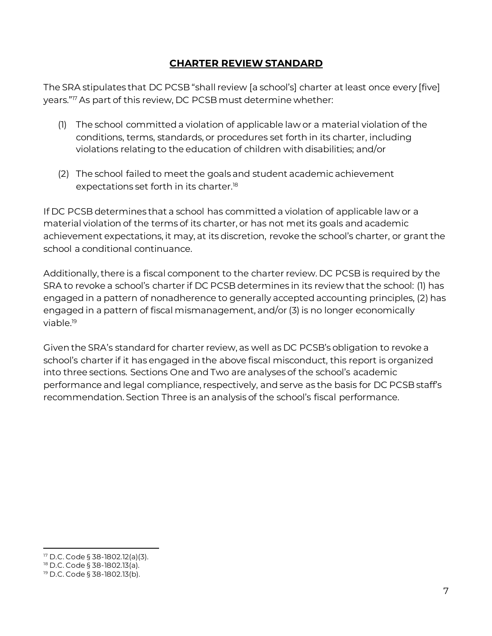### **CHARTER REVIEW STANDARD**

<span id="page-8-0"></span>The SRA stipulates that DC PCSB "shall review [a school's] charter at least once every [five] years."<sup>17</sup> As part of this review, DC PCSB must determine whether:

- (1) The school committed a violation of applicable law or a material violation of the conditions, terms, standards, or procedures set forth in its charter, including violations relating to the education of children with disabilities; and/or
- (2) The school failed to meet the goals and student academic achievement expectations set forth in its charter.<sup>18</sup>

If DC PCSB determines that a school has committed a violation of applicable law or a material violation of the terms of its charter, or has not met its goals and academic achievement expectations, it may, at its discretion, revoke the school's charter, or grant the school a conditional continuance.

Additionally, there is a fiscal component to the charter review. DC PCSB is required by the SRA to revoke a school's charter if DC PCSB determines in its review that the school: (1) has engaged in a pattern of nonadherence to generally accepted accounting principles, (2) has engaged in a pattern of fiscal mismanagement, and/or (3) is no longer economically viable.<sup>19</sup>

Given the SRA's standard for charter review, as well as DC PCSB's obligation to revoke a school's charter if it has engaged in the above fiscal misconduct, this report is organized into three sections. Sections One and Two are analyses of the school's academic performance and legal compliance, respectively, and serve as the basis for DC PCSB staff's recommendation. Section Three is an analysis of the school's fiscal performance.

l <sup>17</sup> D.C. Code § 38-1802.12(a)(3).

<sup>18</sup> D.C. Code § 38-1802.13(a).

<sup>19</sup> D.C. Code § 38-1802.13(b).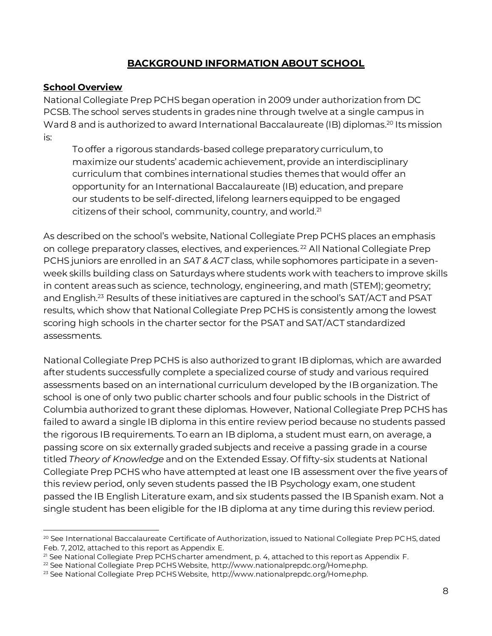# **BACKGROUND INFORMATION ABOUT SCHOOL**

#### <span id="page-9-0"></span>**School Overview**

National Collegiate Prep PCHS began operation in 2009 under authorization from DC PCSB. The school serves students in grades nine through twelve at a single campus in Ward 8 and is authorized to award International Baccalaureate (IB) diplomas. <sup>20</sup> Its mission is:

To offer a rigorous standards-based college preparatory curriculum, to maximize our students' academic achievement, provide an interdisciplinary curriculum that combines international studies themes that would offer an opportunity for an International Baccalaureate (IB) education, and prepare our students to be self-directed, lifelong learners equipped to be engaged citizens of their school, community, country, and world.<sup>21</sup>

As described on the school's website, National Collegiate Prep PCHS places an emphasis on college preparatory classes, electives, and experiences. <sup>22</sup> All National Collegiate Prep PCHS juniors are enrolled in an *SAT & ACT* class, while sophomores participate in a sevenweek skills building class on Saturdays where students work with teachers to improve skills in content areas such as science, technology, engineering, and math (STEM); geometry; and English.<sup>23</sup> Results of these initiatives are captured in the school's SAT/ACT and PSAT results, which show that National Collegiate Prep PCHS is consistently among the lowest scoring high schools in the charter sector for the PSAT and SAT/ACT standardized assessments.

National Collegiate Prep PCHS is also authorized to grant IB diplomas, which are awarded after students successfully complete a specialized course of study and various required assessments based on an international curriculum developed by the IB organization. The school is one of only two public charter schools and four public schools in the District of Columbia authorized to grant these diplomas. However, National Collegiate Prep PCHS has failed to award a single IB diploma in this entire review period because no students passed the rigorous IB requirements. To earn an IB diploma, a student must earn, on average, a passing score on six externally graded subjects and receive a passing grade in a course titled *Theory of Knowledge* and on the Extended Essay. Of fifty-six students at National Collegiate Prep PCHS who have attempted at least one IB assessment over the five years of this review period, only seven students passed the IB Psychology exam, one student passed the IB English Literature exam, and six students passed the IB Spanish exam. Not a single student has been eligible for the IB diploma at any time during this review period.

l <sup>20</sup> See International Baccalaureate Certificate of Authorization, issued to National Collegiate Prep PCHS, dated Feb. 7, 2012, attached to this report as Appendix E.

<sup>&</sup>lt;sup>21</sup> See National Collegiate Prep PCHS charter amendment, p. 4, attached to this report as Appendix F.

<sup>22</sup> See National Collegiate Prep PCHS Website, http://www.nationalprepdc.org/Home.php.

<sup>&</sup>lt;sup>23</sup> See National Collegiate Prep PCHS Website, http://www.nationalprepdc.org/Home.php.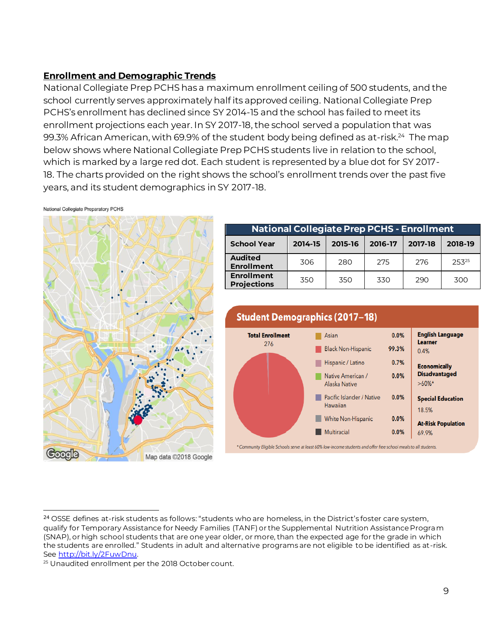#### **Enrollment and Demographic Trends**

National Collegiate Prep PCHS has a maximum enrollment ceiling of 500 students, and the school currently serves approximately half its approved ceiling. National Collegiate Prep PCHS's enrollment has declined since SY 2014-15 and the school has failed to meet its enrollment projections each year. In SY 2017-18, the school served a population that was 99.3% African American, with 69.9% of the student body being defined as at-risk.<sup>24</sup> The map below shows where National Collegiate Prep PCHS students live in relation to the school, which is marked by a large red dot. Each student is represented by a blue dot for SY 2017- 18. The charts provided on the right shows the school's enrollment trends over the past five years, and its student demographics in SY 2017-18.

National Collegiate Preparatory PCHS

l



| <b>National Collegiate Prep PCHS - Enrollment</b> |         |         |         |         |         |  |  |
|---------------------------------------------------|---------|---------|---------|---------|---------|--|--|
| <b>School Year</b>                                | 2014-15 | 2015-16 | 2016-17 | 2017-18 | 2018-19 |  |  |
| <b>Audited</b><br><b>Enrollment</b>               | 306     | 280     | 275     | 276     | 25325   |  |  |
| <b>Enrollment</b><br><b>Projections</b>           | 350     | 350     | 330     | 290     | 300     |  |  |



<sup>&</sup>lt;sup>24</sup> OSSE defines at-risk students as follows: "students who are homeless, in the District's foster care system, qualify for Temporary Assistance for Needy Families (TANF) or the Supplemental Nutrition Assistance Program (SNAP), or high school students that are one year older, or more, than the expected age for the grade in which the students are enrolled." Students in adult and alternative programs are not eligible to be identified as at-risk. See [http://bit.ly/2FuwDnu.](http://bit.ly/2FuwDnu)

<sup>25</sup> Unaudited enrollment per the 2018 October count.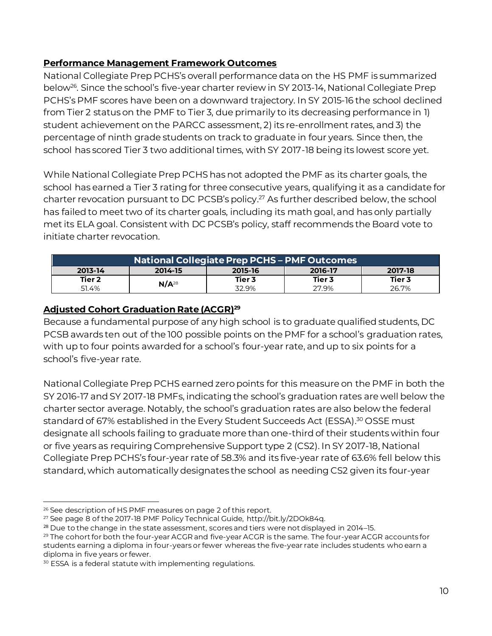#### **Performance Management Framework Outcomes**

National Collegiate Prep PCHS's overall performance data on the HS PMF is summarized below<sup>26</sup> . Since the school's five-year charter review in SY 2013-14, National Collegiate Prep PCHS's PMF scores have been on a downward trajectory. In SY 2015-16 the school declined from Tier 2 status on the PMF to Tier 3, due primarily to its decreasing performance in 1) student achievement on the PARCC assessment, 2) its re-enrollment rates, and 3) the percentage of ninth grade students on track to graduate in four years. Since then, the school has scored Tier 3 two additional times, with SY 2017-18 being its lowest score yet.

While National Collegiate Prep PCHS has not adopted the PMF as its charter goals, the school has earned a Tier 3 rating for three consecutive years, qualifying it as a candidate for charter revocation pursuant to DC PCSB's policy. <sup>27</sup> As further described below, the school has failed to meet two of its charter goals, including its math goal, and has only partially met its ELA goal. Consistent with DC PCSB's policy, staff recommends the Board vote to initiate charter revocation.

| National Collegiate Prep PCHS - PMF Outcomes |                                          |        |        |        |  |  |
|----------------------------------------------|------------------------------------------|--------|--------|--------|--|--|
| 2013-14                                      | 2017-18<br>2015-16<br>2016-17<br>2014-15 |        |        |        |  |  |
| Tier 2                                       |                                          | Tier 3 | Tier 3 | Tier 3 |  |  |
| 51.4%                                        | $N/A^{28}$                               | 32.9%  | 27.9%  | 26.7%  |  |  |

# **Adjusted Cohort Graduation Rate (ACGR)<sup>29</sup>**

Because a fundamental purpose of any high school is to graduate qualified students, DC PCSB awards ten out of the 100 possible points on the PMF for a school's graduation rates, with up to four points awarded for a school's four-year rate, and up to six points for a school's five-year rate.

National Collegiate Prep PCHS earned zero points for this measure on the PMF in both the SY 2016-17 and SY 2017-18 PMFs, indicating the school's graduation rates are well below the charter sector average. Notably, the school's graduation rates are also below the federal standard of 67% established in the Every Student Succeeds Act (ESSA). <sup>30</sup> OSSE must designate all schools failing to graduate more than one-third of their students within four or five years as requiring Comprehensive Support type 2 (CS2). In SY 2017-18, National Collegiate Prep PCHS's four-year rate of 58.3% and its five-year rate of 63.6% fell below this standard, which automatically designates the school as needing CS2 given its four-year

l <sup>26</sup> See description of HS PMF measures on page 2 of this report.

<sup>27</sup> See page 8 of the 2017-18 PMF Policy Technical Guide, http://bit.ly/2DOk84q.

 $28$  Due to the change in the state assessment, scores and tiers were not displayed in 2014–15.

<sup>&</sup>lt;sup>29</sup> The cohort for both the four-year ACGR and five-year ACGR is the same. The four-year ACGR accounts for students earning a diploma in four-years or fewer whereas the five-year rate includes students who earn a diploma in five years or fewer.

<sup>&</sup>lt;sup>30</sup> ESSA is a federal statute with implementing regulations.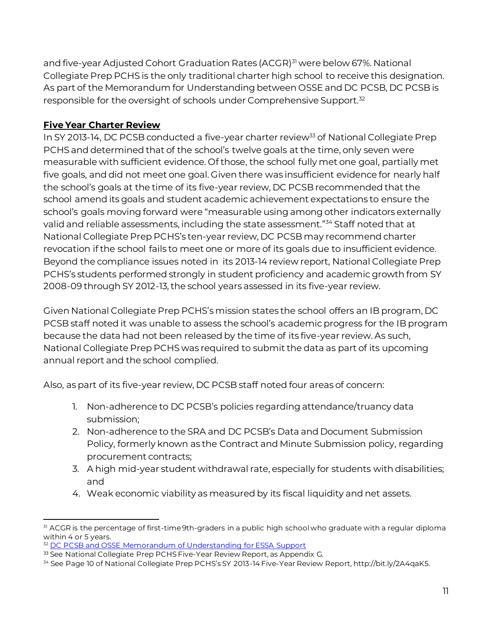and five-year Adjusted Cohort Graduation Rates (ACGR)<sup>31</sup> were below 67%. National Collegiate Prep PCHS is the only traditional charter high school to receive this designation. As part of the Memorandum for Understanding between OSSE and DC PCSB, DC PCSB is responsible for the oversight of schools under Comprehensive Support.<sup>32</sup>

# **Five Year Charter Review**

In SY 2013-14, DC PCSB conducted a five-year charter review<sup>33</sup> of National Collegiate Prep PCHS and determined that of the school's twelve goals at the time, only seven were measurable with sufficient evidence. Of those, the school fully met one goal, partially met five goals, and did not meet one goal. Given there was insufficient evidence for nearly half the school's goals at the time of its five-year review, DC PCSB recommended that the school amend its goals and student academic achievement expectations to ensure the school's goals moving forward were "measurable using among other indicators externally valid and reliable assessments, including the state assessment." <sup>34</sup> Staff noted that at National Collegiate Prep PCHS's ten-year review, DC PCSB may recommend charter revocation if the school fails to meet one or more of its goals due to insufficient evidence. Beyond the compliance issues noted in its 2013-14 review report, National Collegiate Prep PCHS's students performed strongly in student proficiency and academic growth from SY 2008-09 through SY 2012-13, the school years assessed in its five-year review.

Given National Collegiate Prep PCHS's mission states the school offers an IB program, DC PCSB staff noted it was unable to assess the school's academic progress for the IB program because the data had not been released by the time of its five-year review. As such, National Collegiate Prep PCHS was required to submit the data as part of its upcoming annual report and the school complied.

Also, as part of its five-year review, DC PCSB staff noted four areas of concern:

- 1. Non-adherence to DC PCSB's policies regarding attendance/truancy data submission;
- 2. Non-adherence to the SRA and DC PCSB's Data and Document Submission Policy, formerly known as the Contract and Minute Submission policy, regarding procurement contracts;
- 3. A high mid-year student withdrawal rate, especially for students with disabilities; and
- 4. Weak economic viability as measured by its fiscal liquidity and net assets.

l <sup>31</sup> ACGR is the percentage of first-time 9th-graders in a public high school who graduate with a regular diploma within 4 or 5 years.

<sup>&</sup>lt;sup>32</sup> [DC PCSB and OSSE Memorandum of Understanding for ESSA Support](file:///C:/Users/scheatham/AppData/Local/EgnyteWebEdit/temp/Final%20Documents/COS%20PCSB%20ESSA%20Accountability%20MOU_08.21.18.pdf)

<sup>33</sup> See National Collegiate Prep PCHS Five-Year Review Report, as Appendix G.

<sup>34</sup> See Page 10 of National Collegiate Prep PCHS's SY 2013-14 Five-Year Review Report, http://bit.ly/2A4qaK5.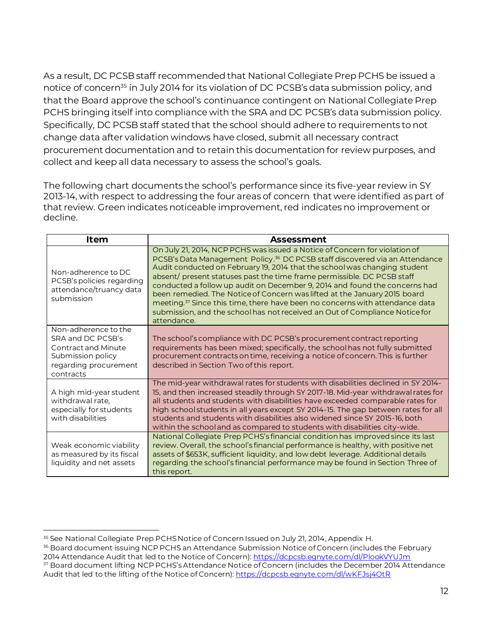As a result, DC PCSB staff recommended that National Collegiate Prep PCHS be issued a notice of concern<sup>35</sup> in July 2014 for its violation of DC PCSB's data submission policy, and that the Board approve the school's continuance contingent on National Collegiate Prep PCHS bringing itself into compliance with the SRA and DC PCSB's data submission policy. Specifically, DC PCSB staff stated that the school should adhere to requirements to not change data after validation windows have closed, submit all necessary contract procurement documentation and to retain this documentation for review purposes, and collect and keep all data necessary to assess the school's goals.

The following chart documents the school's performance since its five-year review in SY 2013-14, with respect to addressing the four areas of concern that were identified as part of that review. Green indicates noticeable improvement, red indicates no improvement or decline.

| ltem                                                                                                                        | Assessment                                                                                                                                                                                                                                                                                                                                                                                                                                                                                                                                                                                                                                                                         |
|-----------------------------------------------------------------------------------------------------------------------------|------------------------------------------------------------------------------------------------------------------------------------------------------------------------------------------------------------------------------------------------------------------------------------------------------------------------------------------------------------------------------------------------------------------------------------------------------------------------------------------------------------------------------------------------------------------------------------------------------------------------------------------------------------------------------------|
| Non-adherence to DC<br>PCSB's policies regarding<br>attendance/truancy data<br>submission                                   | On July 21, 2014, NCP PCHS was issued a Notice of Concern for violation of<br>PCSB's Data Management Policy. <sup>36</sup> DC PCSB staff discovered via an Attendance<br>Audit conducted on February 19, 2014 that the school was changing student<br>absent/ present statuses past the time frame permissible. DC PCSB staff<br>conducted a follow up audit on December 9, 2014 and found the concerns had<br>been remedied. The Notice of Concern was lifted at the January 2015 board<br>meeting. <sup>37</sup> Since this time, there have been no concerns with attendance data<br>submission, and the school has not received an Out of Compliance Notice for<br>attendance. |
| Non-adherence to the<br>SRA and DC PCSB's<br>Contract and Minute<br>Submission policy<br>regarding procurement<br>contracts | The school's compliance with DC PCSB's procurement contract reporting<br>requirements has been mixed; specifically, the school has not fully submitted<br>procurement contracts on time, receiving a notice of concern. This is further<br>described in Section Two of this report.                                                                                                                                                                                                                                                                                                                                                                                                |
| A high mid-year student<br>withdrawal rate,<br>especially for students<br>with disabilities                                 | The mid-year withdrawal rates for students with disabilities declined in SY 2014-<br>15, and then increased steadily through SY 2017-18. Mid-year withdrawal rates for<br>all students and students with disabilities have exceeded comparable rates for<br>high school students in all years except SY 2014-15. The gap between rates for all<br>students and students with disabilities also widened since SY 2015-16, both<br>within the school and as compared to students with disabilities city-wide.                                                                                                                                                                        |
| Weak economic viability<br>as measured by its fiscal<br>liquidity and net assets                                            | National Collegiate Prep PCHS's financial condition has improved since its last<br>review. Overall, the school's financial performance is healthy, with positive net<br>assets of \$653K, sufficient liquidity, and low debt leverage. Additional details<br>regarding the school's financial performance may be found in Section Three of<br>this report.                                                                                                                                                                                                                                                                                                                         |

<sup>36</sup> Board document issuing NCP PCHS an Attendance Submission Notice of Concern (includes the February 2014 Attendance Audit that led to the Notice of Concern)[: https://dcpcsb.egnyte.com/dl/PlookVYUJm](https://dcpcsb.egnyte.com/dl/PlookVYUJm)

l <sup>35</sup> See National Collegiate Prep PCHS Notice of Concern Issued on July 21, 2014, Appendix H.

<sup>&</sup>lt;sup>37</sup> Board document lifting NCP PCHS's Attendance Notice of Concern (includes the December 2014 Attendance Audit that led to the lifting of the Notice of Concern)[: https://dcpcsb.egnyte.com/dl/wKFJsj4OtR](https://dcpcsb.egnyte.com/dl/wKFJsj4OtR)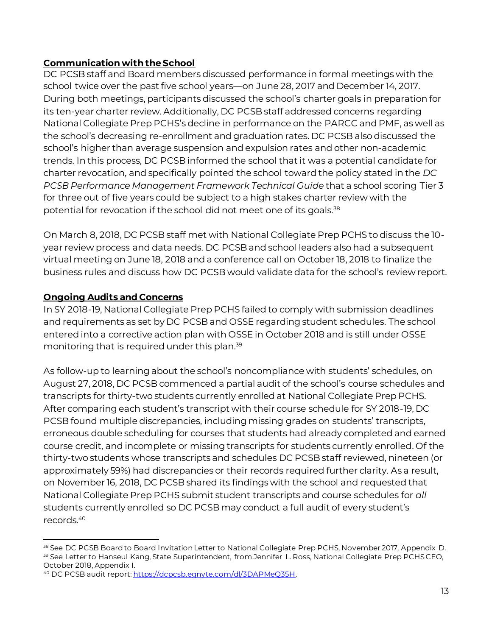#### **Communication with the School**

DC PCSB staff and Board members discussed performance in formal meetings with the school twice over the past five school years—on June 28, 2017 and December 14, 2017. During both meetings, participants discussed the school's charter goals in preparation for its ten-year charter review. Additionally, DC PCSB staff addressed concerns regarding National Collegiate Prep PCHS's decline in performance on the PARCC and PMF, as well as the school's decreasing re-enrollment and graduation rates. DC PCSB also discussed the school's higher than average suspension and expulsion rates and other non-academic trends. In this process, DC PCSB informed the school that it was a potential candidate for charter revocation, and specifically pointed the school toward the policy stated in the *DC PCSB Performance Management Framework Technical Guide* that a school scoring Tier 3 for three out of five years could be subject to a high stakes charter review with the potential for revocation if the school did not meet one of its goals.<sup>38</sup>

On March 8, 2018, DC PCSB staff met with National Collegiate Prep PCHS to discuss the 10 year review process and data needs. DC PCSB and school leaders also had a subsequent virtual meeting on June 18, 2018 and a conference call on October 18, 2018 to finalize the business rules and discuss how DC PCSB would validate data for the school's review report.

#### **Ongoing Audits and Concerns**

In SY 2018-19, National Collegiate Prep PCHS failed to comply with submission deadlines and requirements as set by DC PCSB and OSSE regarding student schedules. The school entered into a corrective action plan with OSSE in October 2018 and is still under OSSE monitoring that is required under this plan.<sup>39</sup>

As follow-up to learning about the school's noncompliance with students' schedules, on August 27, 2018, DC PCSB commenced a partial audit of the school's course schedules and transcripts for thirty-two students currently enrolled at National Collegiate Prep PCHS. After comparing each student's transcript with their course schedule for SY 2018-19, DC PCSB found multiple discrepancies, including missing grades on students' transcripts, erroneous double scheduling for courses that students had already completed and earned course credit, and incomplete or missing transcripts for students currently enrolled. Of the thirty-two students whose transcripts and schedules DC PCSB staff reviewed, nineteen (or approximately 59%) had discrepancies or their records required further clarity. As a result, on November 16, 2018, DC PCSB shared its findings with the school and requested that National Collegiate Prep PCHS submit student transcripts and course schedules for *all* students currently enrolled so DC PCSB may conduct a full audit of every student's records.<sup>40</sup>

l 38 See DC PCSB Board to Board Invitation Letter to National Collegiate Prep PCHS, November 2017, Appendix D. <sup>39</sup> See Letter to Hanseul Kang, State Superintendent, from Jennifer L. Ross, National Collegiate Prep PCHS CEO, October 2018, Appendix I.

<sup>40</sup> DC PCSB audit report[: https://dcpcsb.egnyte.com/dl/3DAPMeQ35H](https://dcpcsb.egnyte.com/dl/3DAPMeQ35H).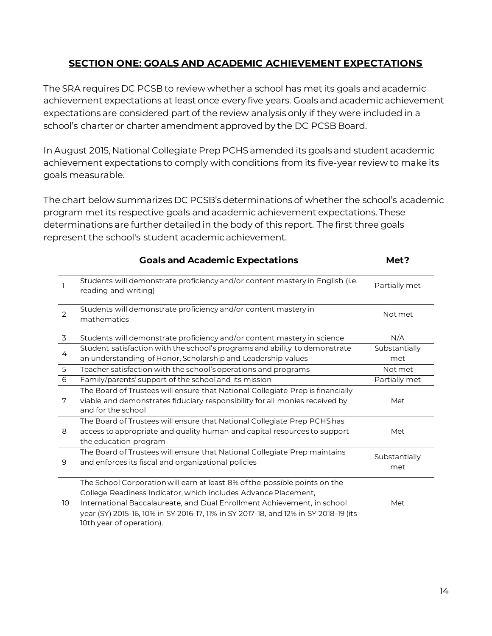# **SECTION ONE: GOALS AND ACADEMIC ACHIEVEMENT EXPECTATIONS**

<span id="page-15-0"></span>The SRA requires DC PCSB to review whether a school has met its goals and academic achievement expectations at least once every five years. Goals and academic achievement expectations are considered part of the review analysis only if they were included in a school's charter or charter amendment approved by the DC PCSB Board.

In August 2015, National Collegiate Prep PCHS amended its goals and student academic achievement expectations to comply with conditions from its five-year review to make its goals measurable.

The chart below summarizes DC PCSB's determinations of whether the school's academic program met its respective goals and academic achievement expectations. These determinations are further detailed in the body of this report. The first three goals represent the school's student academic achievement.

|                | <b>Goals and Academic Expectations</b>                                                                                                                                                                                                                                                                                                     | Met?                 |
|----------------|--------------------------------------------------------------------------------------------------------------------------------------------------------------------------------------------------------------------------------------------------------------------------------------------------------------------------------------------|----------------------|
|                | Students will demonstrate proficiency and/or content mastery in English (i.e.<br>reading and writing)                                                                                                                                                                                                                                      | Partially met        |
| 2              | Students will demonstrate proficiency and/or content mastery in<br>mathematics                                                                                                                                                                                                                                                             | Not met              |
| $\overline{3}$ | Students will demonstrate proficiency and/or content mastery in science                                                                                                                                                                                                                                                                    | N/A                  |
| 4              | Student satisfaction with the school's programs and ability to demonstrate                                                                                                                                                                                                                                                                 | Substantially        |
|                | an understanding of Honor, Scholarship and Leadership values                                                                                                                                                                                                                                                                               | met                  |
| 5              | Teacher satisfaction with the school's operations and programs                                                                                                                                                                                                                                                                             | Not met              |
| 6              | Family/parents' support of the school and its mission                                                                                                                                                                                                                                                                                      | Partially met        |
| 7              | The Board of Trustees will ensure that National Collegiate Prep is financially<br>viable and demonstrates fiduciary responsibility for all monies received by<br>and for the school                                                                                                                                                        | Met                  |
| 8              | The Board of Trustees will ensure that National Collegiate Prep PCHS has<br>access to appropriate and quality human and capital resources to support<br>the education program                                                                                                                                                              | Met                  |
| 9              | The Board of Trustees will ensure that National Collegiate Prep maintains<br>and enforces its fiscal and organizational policies                                                                                                                                                                                                           | Substantially<br>met |
| 10             | The School Corporation will earn at least 8% of the possible points on the<br>College Readiness Indicator, which includes Advance Placement,<br>International Baccalaureate, and Dual Enrollment Achievement, in school<br>year (SY) 2015-16, 10% in SY 2016-17, 11% in SY 2017-18, and 12% in SY 2018-19 (its<br>10th year of operation). | Met                  |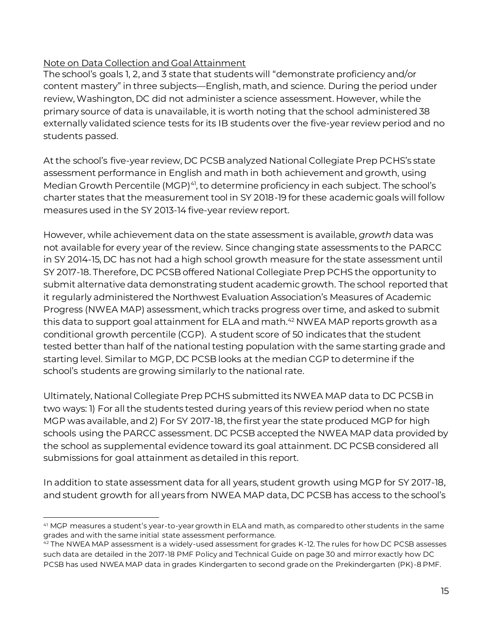### Note on Data Collection and Goal Attainment

The school's goals 1, 2, and 3 state that students will "demonstrate proficiency and/or content mastery" in three subjects—English, math, and science. During the period under review, Washington, DC did not administer a science assessment. However, while the primary source of data is unavailable, it is worth noting that the school administered 38 externally validated science tests for its IB students over the five-year review period and no students passed.

At the school's five-year review, DC PCSB analyzed National Collegiate Prep PCHS's state assessment performance in English and math in both achievement and growth, using Median Growth Percentile (MGP)<sup>41</sup>, to determine proficiency in each subject. The school's charter states that the measurement tool in SY 2018-19 for these academic goals will follow measures used in the SY 2013-14 five-year review report.

However, while achievement data on the state assessment is available, *growth* data was not available for every year of the review. Since changing state assessments to the PARCC in SY 2014-15, DC has not had a high school growth measure for the state assessment until SY 2017-18. Therefore, DC PCSB offered National Collegiate Prep PCHS the opportunity to submit alternative data demonstrating student academic growth. The school reported that it regularly administered the Northwest Evaluation Association's Measures of Academic Progress (NWEA MAP) assessment, which tracks progress over time, and asked to submit this data to support goal attainment for ELA and math.<sup>42</sup> NWEA MAP reports growth as a conditional growth percentile (CGP). A student score of 50 indicates that the student tested better than half of the national testing population with the same starting grade and starting level. Similar to MGP, DC PCSB looks at the median CGP to determine if the school's students are growing similarly to the national rate.

Ultimately, National Collegiate Prep PCHS submitted its NWEA MAP data to DC PCSB in two ways: 1) For all the students tested during years of this review period when no state MGP was available, and 2) For SY 2017-18, the first year the state produced MGP for high schools using the PARCC assessment. DC PCSB accepted the NWEA MAP data provided by the school as supplemental evidence toward its goal attainment. DC PCSB considered all submissions for goal attainment as detailed in this report.

In addition to state assessment data for all years, student growth using MGP for SY 2017-18, and student growth for all years from NWEA MAP data, DC PCSB has access to the school's

l <sup>41</sup> MGP measures a student's year-to-year growth in ELA and math, as compared to other students in the same grades and with the same initial state assessment performance.

<sup>42</sup> The NWEA MAP assessment is a widely-used assessment for grades K-12. The rules for how DC PCSB assesses such data are detailed in the 2017-18 PMF Policy and Technical Guide on page 30 and mirror exactly how DC PCSB has used NWEA MAP data in grades Kindergarten to second grade on the Prekindergarten (PK)-8 PMF.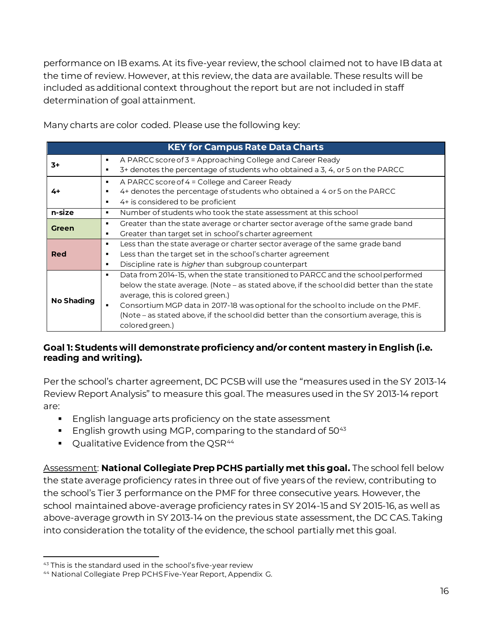performance on IB exams. At its five-year review, the school claimed not to have IB data at the time of review. However, at this review, the data are available. These results will be included as additional context throughout the report but are not included in staff determination of goal attainment.

|                   |                | <b>KEY for Campus Rate Data Charts</b>                                                                                                                         |
|-------------------|----------------|----------------------------------------------------------------------------------------------------------------------------------------------------------------|
| 3+                | ٠<br>٠         | A PARCC score of 3 = Approaching College and Career Ready<br>3+ denotes the percentage of students who obtained a 3, 4, or 5 on the PARCC                      |
| 4+                | ٠<br>٠<br>٠    | A PARCC score of 4 = College and Career Ready<br>4+ denotes the percentage of students who obtained a 4 or 5 on the PARCC<br>4+ is considered to be proficient |
| n-size            | ٠              | Number of students who took the state assessment at this school                                                                                                |
| <b>Green</b>      | ٠              | Greater than the state average or charter sector average of the same grade band                                                                                |
|                   | ٠              | Greater than target set in school's charter agreement                                                                                                          |
|                   | ٠              | Less than the state average or charter sector average of the same grade band                                                                                   |
| Red               | ٠              | Less than the target set in the school's charter agreement                                                                                                     |
|                   | $\blacksquare$ | Discipline rate is <i>higher</i> than subgroup counterpart                                                                                                     |
|                   |                | Data from 2014-15, when the state transitioned to PARCC and the school performed                                                                               |
|                   |                | below the state average. (Note – as stated above, if the school did better than the state                                                                      |
|                   |                | average, this is colored green.)                                                                                                                               |
| <b>No Shading</b> | ٠              | Consortium MGP data in 2017-18 was optional for the school to include on the PMF.                                                                              |
|                   |                | (Note – as stated above, if the school did better than the consortium average, this is                                                                         |
|                   |                | colored green.)                                                                                                                                                |

Many charts are color coded. Please use the following key:

#### **Goal 1: Students will demonstrate proficiency and/or content mastery in English (i.e. reading and writing).**

Per the school's charter agreement, DC PCSB will use the "measures used in the SY 2013-14 Review Report Analysis" to measure this goal. The measures used in the SY 2013-14 report are:

- English language arts proficiency on the state assessment
- **English growth using MGP, comparing to the standard of 50** $43$
- Qualitative Evidence from the QSR<sup>44</sup>

Assessment: **National Collegiate Prep PCHS partially met this goal.** The school fell below the state average proficiency rates in three out of five years of the review, contributing to the school's Tier 3 performance on the PMF for three consecutive years. However, the school maintained above-average proficiency rates in SY 2014-15 and SY 2015-16, as well as above-average growth in SY 2013-14 on the previous state assessment, the DC CAS. Taking into consideration the totality of the evidence, the school partially met this goal.

l

<sup>43</sup> This is the standard used in the school's five-year review

<sup>44</sup> National Collegiate Prep PCHS Five-Year Report, Appendix G.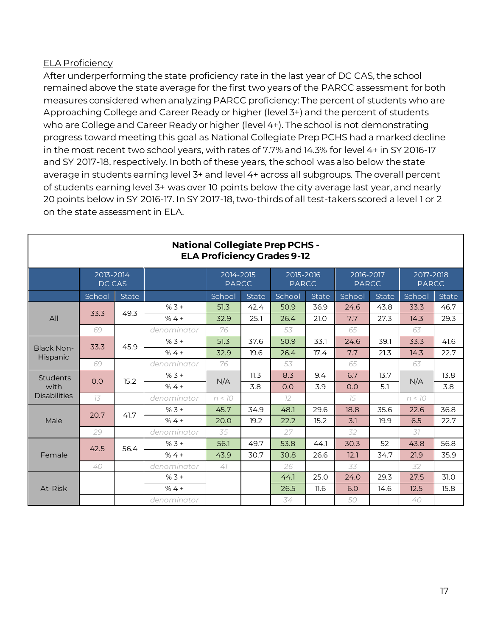#### ELA Proficiency

After underperforming the state proficiency rate in the last year of DC CAS, the school remained above the state average for the first two years of the PARCC assessment for both measures considered when analyzing PARCC proficiency: The percent of students who are Approaching College and Career Ready or higher (level 3+) and the percent of students who are College and Career Ready or higher (level 4+). The school is not demonstrating progress toward meeting this goal as National Collegiate Prep PCHS had a marked decline in the most recent two school years, with rates of 7.7% and 14.3% for level 4+ in SY 2016-17 and SY 2017-18, respectively. In both of these years, the school was also below the state average in students earning level 3+ and level 4+ across all subgroups. The overall percent of students earning level 3+ was over 10 points below the city average last year, and nearly 20 points below in SY 2016-17. In SY 2017-18, two-thirds of all test-takers scored a level 1 or 2 on the state assessment in ELA.

| <b>ELA Proficiency Grades 9-12</b> |                     |              |             |                           |              |                           |              |                           |              |                           |              |
|------------------------------------|---------------------|--------------|-------------|---------------------------|--------------|---------------------------|--------------|---------------------------|--------------|---------------------------|--------------|
|                                    | 2013-2014<br>DC CAS |              |             | 2014-2015<br><b>PARCC</b> |              | 2015-2016<br><b>PARCC</b> |              | 2016-2017<br><b>PARCC</b> |              | 2017-2018<br><b>PARCC</b> |              |
|                                    | School              | <b>State</b> |             | School                    | <b>State</b> | School                    | <b>State</b> | School                    | <b>State</b> | School                    | <b>State</b> |
|                                    | 33.3                | 49.3         | $% 3 +$     | 51.3                      | 42.4         | 50.9                      | 36.9         | 24.6                      | 43.8         | 33.3                      | 46.7         |
| All                                |                     |              | $%4+$       | 32.9                      | 25.1         | 26.4                      | 21.0         | 7.7                       | 27.3         | 14.3                      | 29.3         |
|                                    | 69                  |              | denominator | 76                        |              | 53                        |              | 65                        |              | 63                        |              |
|                                    | 33.3                | 45.9         | $% 3 +$     | 51.3                      | 37.6         | 50.9                      | 33.1         | 24.6                      | 39.1         | 33.3                      | 41.6         |
| <b>Black Non-</b><br>Hispanic      |                     |              | $%4+$       | 32.9                      | 19.6         | 26.4                      | 17.4         | 7.7                       | 21.3         | 14.3                      | 22.7         |
|                                    | 69                  |              | denominator | 76                        |              | 53                        |              | 65                        |              | 63                        |              |
| Students<br>with                   | 0.0                 | 15.2         | $%3 +$      | N/A                       | 11.3         | 8.3                       | 9.4          | 6.7                       | 13.7         | N/A                       | 13.8         |
|                                    |                     |              | $%4 +$      |                           | 3.8          | 0.0                       | 3.9          | 0.0                       | 5.1          |                           | 3.8          |
| <b>Disabilities</b>                | 73                  |              | denominator | n < 70                    |              | 12                        |              | 75                        |              | n < 70                    |              |
|                                    | 20.7                | 41.7         | $% 3 +$     | 45.7                      | 34.9         | 48.1                      | 29.6         | 18.8                      | 35.6         | 22.6                      | 36.8         |
| Male                               |                     |              | $%4+$       | 20.0                      | 19.2         | 22.2                      | 15.2         | 3.1                       | 19.9         | 6.5                       | 22.7         |
|                                    | 29                  |              | denominator | 35                        |              | 27                        |              | 32                        |              | 37                        |              |
|                                    | 42.5                | 56.4         | $% 3 +$     | 56.1                      | 49.7         | 53.8                      | 44.1         | 30.3                      | 52           | 43.8                      | 56.8         |
| Female                             |                     |              | $%4+$       | 43.9                      | 30.7         | 30.8                      | 26.6         | 12.1                      | 34.7         | 21.9                      | 35.9         |
| 40                                 |                     |              | denominator | 47                        |              | 26                        |              | 33                        |              | 32                        |              |
|                                    |                     |              | $% 3 +$     |                           |              | 44.1                      | 25.0         | 24.0                      | 29.3         | 27.5                      | 31.0         |
| At-Risk                            |                     |              | $%4+$       |                           |              | 26.5                      | 11.6         | 6.0                       | 14.6         | 12.5                      | 15.8         |
|                                    |                     |              | denominator |                           |              | 34                        |              | 50                        |              | 40                        |              |

# **National Collegiate Prep PCHS -**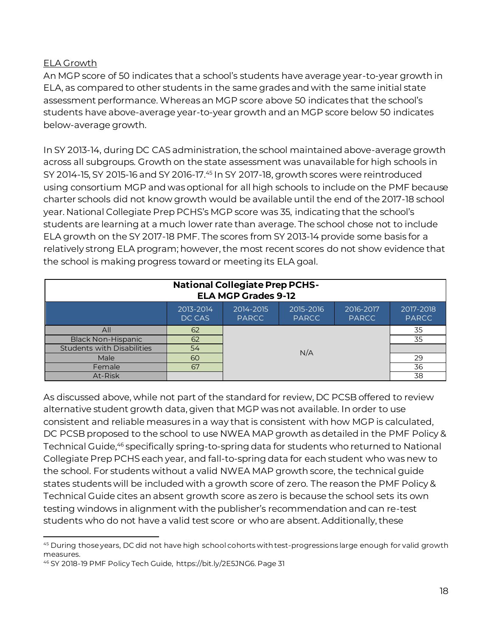#### ELA Growth

An MGP score of 50 indicates that a school's students have average year-to-year growth in ELA, as compared to other students in the same grades and with the same initial state assessment performance. Whereas an MGP score above 50 indicates that the school's students have above-average year-to-year growth and an MGP score below 50 indicates below-average growth.

In SY 2013-14, during DC CAS administration, the school maintained above-average growth across all subgroups. Growth on the state assessment was unavailable for high schools in SY 2014-15, SY 2015-16 and SY 2016-17. <sup>45</sup> In SY 2017-18, growth scores were reintroduced using consortium MGP and was optional for all high schools to include on the PMF because charter schools did not know growth would be available until the end of the 2017-18 school year. National Collegiate Prep PCHS's MGP score was 35, indicating that the school's students are learning at a much lower rate than average. The school chose not to include ELA growth on the SY 2017-18 PMF. The scores from SY 2013-14 provide some basis for a relatively strong ELA program; however, the most recent scores do not show evidence that the school is making progress toward or meeting its ELA goal.

| <b>National Collegiate Prep PCHS-</b><br><b>ELA MGP Grades 9-12</b>                                                                     |    |          |     |  |    |  |
|-----------------------------------------------------------------------------------------------------------------------------------------|----|----------|-----|--|----|--|
| 2014-2015<br>2015-2016<br>2013-2014<br>2017-2018<br>2016-2017<br><b>PARCC</b><br><b>PARCC</b><br><b>PARCC</b><br><b>PARCC</b><br>DC CAS |    |          |     |  |    |  |
| All                                                                                                                                     | 62 | 35       |     |  |    |  |
| <b>Black Non-Hispanic</b>                                                                                                               | 62 |          |     |  | 35 |  |
| <b>Students with Disabilities</b>                                                                                                       | 54 |          | N/A |  |    |  |
| Male                                                                                                                                    | 60 | 29<br>36 |     |  |    |  |
| Female                                                                                                                                  | 67 |          |     |  |    |  |
| At-Risk                                                                                                                                 |    |          |     |  | 38 |  |

As discussed above, while not part of the standard for review, DC PCSB offered to review alternative student growth data, given that MGP was not available. In order to use consistent and reliable measures in a way that is consistent with how MGP is calculated, DC PCSB proposed to the school to use NWEA MAP growth as detailed in the PMF Policy & Technical Guide, <sup>46</sup> specifically spring-to-spring data for students who returned to National Collegiate Prep PCHS each year, and fall-to-spring data for each student who was new to the school. For students without a valid NWEA MAP growth score, the technical guide states students will be included with a growth score of zero. The reason the PMF Policy & Technical Guide cites an absent growth score as zero is because the school sets its own testing windows in alignment with the publisher's recommendation and can re-test students who do not have a valid test score or who are absent. Additionally, these

l <sup>45</sup> During those years, DC did not have high school cohorts with test-progressions large enough for valid growth measures.

<sup>46</sup> SY 2018-19 PMF Policy Tech Guide, https://bit.ly/2E5JNG6. Page 31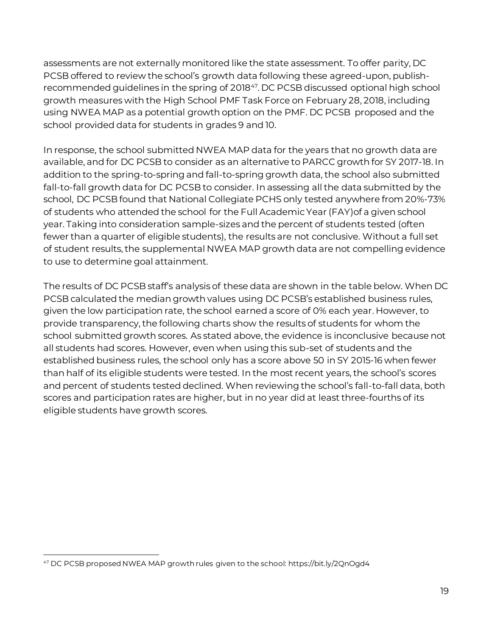assessments are not externally monitored like the state assessment. To offer parity, DC PCSB offered to review the school's growth data following these agreed-upon, publishrecommended guidelines in the spring of 2018<sup>47</sup>. DC PCSB discussed optional high school growth measures with the High School PMF Task Force on February 28, 2018, including using NWEA MAP as a potential growth option on the PMF. DC PCSB proposed and the school provided data for students in grades 9 and 10.

In response, the school submitted NWEA MAP data for the years that no growth data are available, and for DC PCSB to consider as an alternative to PARCC growth for SY 2017-18. In addition to the spring-to-spring and fall-to-spring growth data, the school also submitted fall-to-fall growth data for DC PCSB to consider. In assessing all the data submitted by the school, DC PCSB found that National Collegiate PCHS only tested anywhere from 20%-73% of students who attended the school for the Full Academic Year (FAY)of a given school year. Taking into consideration sample-sizes and the percent of students tested (often fewer than a quarter of eligible students), the results are not conclusive. Without a full set of student results, the supplemental NWEA MAP growth data are not compelling evidence to use to determine goal attainment.

The results of DC PCSB staff's analysis of these data are shown in the table below. When DC PCSB calculated the median growth values using DC PCSB's established business rules, given the low participation rate, the school earned a score of 0% each year. However, to provide transparency, the following charts show the results of students for whom the school submitted growth scores. As stated above, the evidence is inconclusive because not all students had scores. However, even when using this sub-set of students and the established business rules, the school only has a score above 50 in SY 2015-16 when fewer than half of its eligible students were tested. In the most recent years, the school's scores and percent of students tested declined. When reviewing the school's fall-to-fall data, both scores and participation rates are higher, but in no year did at least three-fourths of its eligible students have growth scores.

l <sup>47</sup> DC PCSB proposed NWEA MAP growth rules given to the school: https://bit.ly/2QnOgd4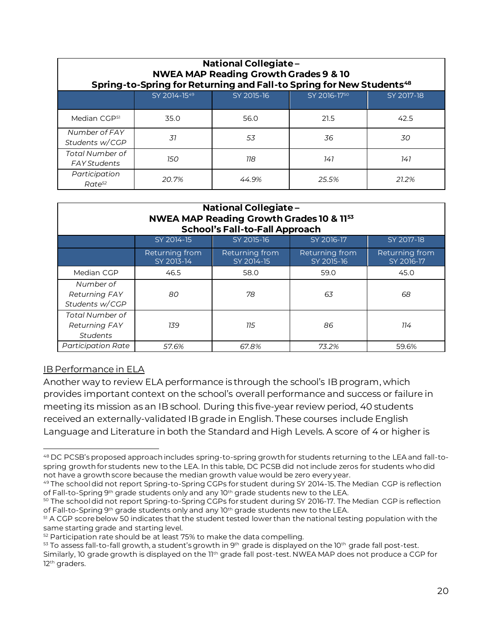| <b>National Collegiate-</b><br><b>NWEA MAP Reading Growth Grades 9 &amp; 10</b><br>Spring-to-Spring for Returning and Fall-to Spring for New Students <sup>48</sup> |              |            |              |            |  |  |
|---------------------------------------------------------------------------------------------------------------------------------------------------------------------|--------------|------------|--------------|------------|--|--|
|                                                                                                                                                                     | SY 2014-1549 | SY 2015-16 | SY 2016-1750 | SY 2017-18 |  |  |
| Median CGP <sup>51</sup>                                                                                                                                            | 35.0         | 56.0       | 21.5         | 42.5       |  |  |
| Number of FAY<br>Students w/CGP                                                                                                                                     | 31           | 53         | 36           | 30         |  |  |
| Total Number of<br><b>FAY Students</b>                                                                                                                              | 150          | 118        | 141          | 141        |  |  |
| Participation<br>$Rate^{52}$                                                                                                                                        | 20.7%        | 44.9%      | 25.5%        | 21.2%      |  |  |

| <b>National Collegiate -</b><br>NWEA MAP Reading Growth Grades 10 & 1153<br><b>School's Fall-to-Fall Approach</b> |                              |                              |                              |                              |  |  |
|-------------------------------------------------------------------------------------------------------------------|------------------------------|------------------------------|------------------------------|------------------------------|--|--|
|                                                                                                                   | SY 2014-15                   | SY 2015-16                   | SY 2016-17                   | SY 2017-18                   |  |  |
|                                                                                                                   | Returning from<br>SY 2013-14 | Returning from<br>SY 2014-15 | Returning from<br>SY 2015-16 | Returning from<br>SY 2016-17 |  |  |
| Median CGP                                                                                                        | 46.5                         | 58.0                         | 59.0                         | 45.0                         |  |  |
| Number of<br><b>Returning FAY</b><br>Students w/CGP                                                               | 80                           | 78                           | 63                           | 68                           |  |  |
| Total Number of<br><b>Returning FAY</b><br><b>Students</b>                                                        | 139                          | 115                          | 86                           | 114                          |  |  |
| <b>Participation Rate</b>                                                                                         | 57.6%                        | 67.8%                        | 73.2%                        | 59.6%                        |  |  |

#### IB Performance in ELA

Another way to review ELA performance is through the school's IB program, which provides important context on the school's overall performance and success or failure in meeting its mission as an IB school. During this five-year review period, 40 students received an externally-validated IB grade in English. These courses include English Language and Literature in both the Standard and High Levels. A score of 4 or higher is

 $53$  To assess fall-to-fall growth, a student's growth in 9<sup>th</sup> grade is displayed on the 10<sup>th</sup> grade fall post-test.

 $\overline{a}$ <sup>48</sup> DC PCSB's proposed approach includes spring-to-spring growth for students returning to the LEA and fall-tospring growth for students new to the LEA. In this table, DC PCSB did not include zeros for students who did not have a growth score because the median growth value would be zero every year.

<sup>49</sup> The school did not report Spring-to-Spring CGPs for student during SY 2014-15. The Median CGP is reflection of Fall-to-Spring 9th grade students only and any  $10<sup>th</sup>$  grade students new to the LEA.

<sup>50</sup> The school did not report Spring-to-Spring CGPs for student during SY 2016-17. The Median CGP is reflection of Fall-to-Spring 9<sup>th</sup> grade students only and any  $10<sup>th</sup>$  grade students new to the LEA.

<sup>51</sup> A CGP score below 50 indicates that the student tested lower than the national testing population with the same starting grade and starting level.

<sup>&</sup>lt;sup>52</sup> Participation rate should be at least 75% to make the data compelling.

Similarly, 10 grade growth is displayed on the 11th grade fall post-test. NWEA MAP does not produce a CGP for 12<sup>th</sup> graders.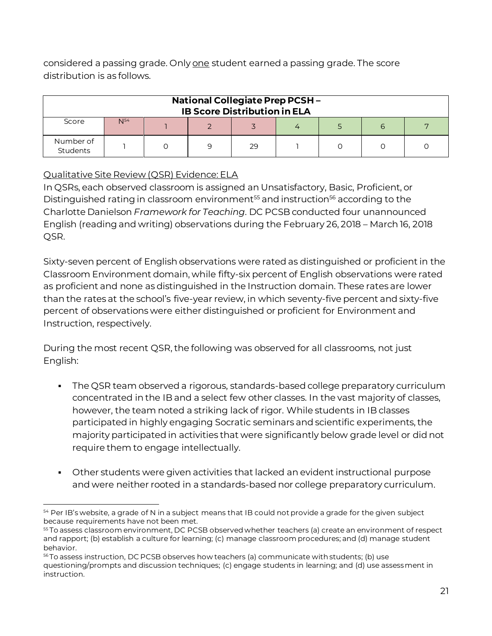considered a passing grade. Only one student earned a passing grade. The score distribution is as follows.

| <b>National Collegiate Prep PCSH-</b><br><b>IB Score Distribution in ELA</b> |          |  |  |    |  |  |  |  |
|------------------------------------------------------------------------------|----------|--|--|----|--|--|--|--|
| Score                                                                        | $N^{54}$ |  |  |    |  |  |  |  |
| Number of<br>Students                                                        |          |  |  | 29 |  |  |  |  |

# Qualitative Site Review (QSR) Evidence: ELA

In QSRs, each observed classroom is assigned an Unsatisfactory, Basic, Proficient, or Distinguished rating in classroom environment<sup>55</sup> and instruction<sup>56</sup> according to the Charlotte Danielson *Framework for Teaching*. DC PCSB conducted four unannounced English (reading and writing) observations during the February 26, 2018 – March 16, 2018 QSR.

Sixty-seven percent of English observations were rated as distinguished or proficient in the Classroom Environment domain, while fifty-six percent of English observations were rated as proficient and none as distinguished in the Instruction domain. These rates are lower than the rates at the school's five-year review, in which seventy-five percent and sixty-five percent of observations were either distinguished or proficient for Environment and Instruction, respectively.

During the most recent QSR, the following was observed for all classrooms, not just English:

- The QSR team observed a rigorous, standards-based college preparatory curriculum concentrated in the IB and a select few other classes. In the vast majority of classes, however, the team noted a striking lack of rigor. While students in IB classes participated in highly engaging Socratic seminars and scientific experiments, the majority participated in activities that were significantly below grade level or did not require them to engage intellectually.
- **•** Other students were given activities that lacked an evident instructional purpose and were neither rooted in a standards-based nor college preparatory curriculum.

l 54 Per IB's website, a grade of N in a subject means that IB could not provide a grade for the given subject because requirements have not been met.

<sup>55</sup> To assess classroom environment, DC PCSB observed whether teachers (a) create an environment of respect and rapport; (b) establish a culture for learning; (c) manage classroom procedures; and (d) manage student behavior.

<sup>&</sup>lt;sup>56</sup> To assess instruction, DC PCSB observes how teachers (a) communicate with students; (b) use questioning/prompts and discussion techniques; (c) engage students in learning; and (d) use assessment in instruction.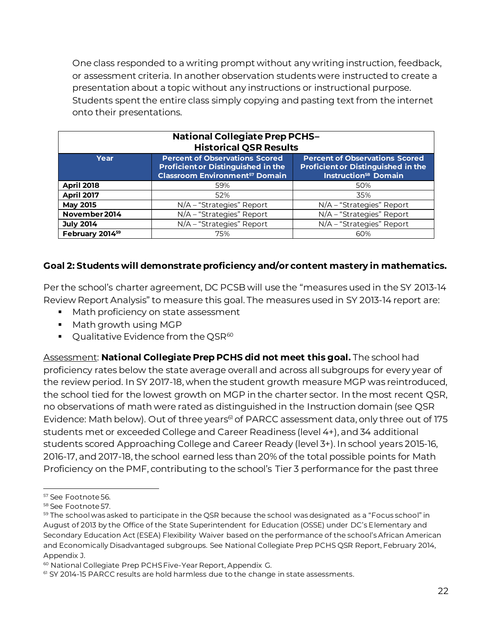One class responded to a writing prompt without any writing instruction, feedback, or assessment criteria. In another observation students were instructed to create a presentation about a topic without any instructions or instructional purpose. Students spent the entire class simply copying and pasting text from the internet onto their presentations.

| <b>National Collegiate Prep PCHS-</b><br><b>Historical QSR Results</b>                                                                                                                                                                                                         |                             |                             |  |  |  |  |
|--------------------------------------------------------------------------------------------------------------------------------------------------------------------------------------------------------------------------------------------------------------------------------|-----------------------------|-----------------------------|--|--|--|--|
| <b>Percent of Observations Scored</b><br><b>Percent of Observations Scored</b><br>Year<br><b>Proficient or Distinguished in the</b><br><b>Proficient or Distinguished in the</b><br><b>Classroom Environment<sup>57</sup> Domain</b><br><b>Instruction<sup>58</sup> Domain</b> |                             |                             |  |  |  |  |
| <b>April 2018</b>                                                                                                                                                                                                                                                              | 59%                         | 50%                         |  |  |  |  |
| <b>April 2017</b>                                                                                                                                                                                                                                                              | 52%                         | 35%                         |  |  |  |  |
| <b>May 2015</b>                                                                                                                                                                                                                                                                | $N/A$ – "Strategies" Report | $N/A$ – "Strategies" Report |  |  |  |  |
| November 2014                                                                                                                                                                                                                                                                  | N/A - "Strategies" Report   | N/A - "Strategies" Report   |  |  |  |  |
| <b>July 2014</b>                                                                                                                                                                                                                                                               | N/A - "Strategies" Report   | N/A - "Strategies" Report   |  |  |  |  |
| February 2014 <sup>59</sup>                                                                                                                                                                                                                                                    | 75%                         | 60%                         |  |  |  |  |

### **Goal 2: Students will demonstrate proficiency and/or content mastery in mathematics.**

Per the school's charter agreement, DC PCSB will use the "measures used in the SY 2013-14 Review Report Analysis" to measure this goal. The measures used in SY 2013-14 report are:

- Math proficiency on state assessment
- Math growth using MGP
- $\bullet$  Qualitative Evidence from the QSR<sup>60</sup>

Assessment: **National Collegiate Prep PCHS did not meet this goal.** The school had proficiency rates below the state average overall and across all subgroups for every year of the review period. In SY 2017-18, when the student growth measure MGP was reintroduced, the school tied for the lowest growth on MGP in the charter sector. In the most recent QSR, no observations of math were rated as distinguished in the Instruction domain (see QSR Evidence: Math below). Out of three years<sup>61</sup> of PARCC assessment data, only three out of 175 students met or exceeded College and Career Readiness (level 4+), and 34 additional students scored Approaching College and Career Ready (level 3+). In school years 2015-16, 2016-17, and 2017-18, the school earned less than 20% of the total possible points for Math Proficiency on the PMF, contributing to the school's Tier 3 performance for the past three

l

<sup>57</sup> See Footnote 56.

<sup>58</sup> See Footnote 57.

 $59$  The school was asked to participate in the QSR because the school was designated as a "Focus school" in August of 2013 by the Office of the State Superintendent for Education (OSSE) under DC's Elementary and Secondary Education Act (ESEA) Flexibility Waiver based on the performance of the school's African American and Economically Disadvantaged subgroups. See National Collegiate Prep PCHS QSR Report, February 2014, Appendix J.

<sup>60</sup> National Collegiate Prep PCHS Five-Year Report, Appendix G.

<sup>61</sup> SY 2014-15 PARCC results are hold harmless due to the change in state assessments.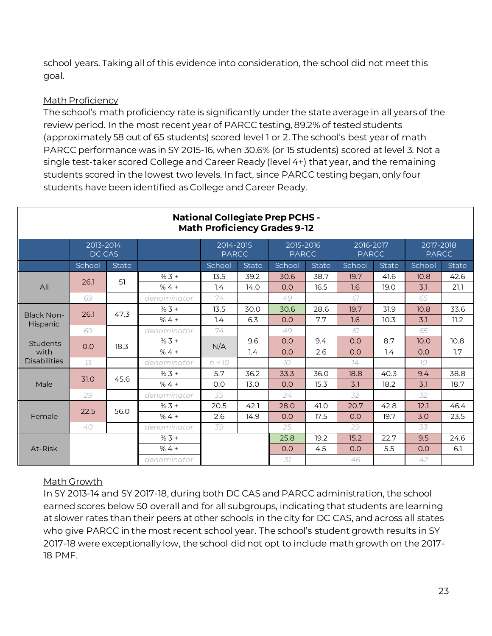school years. Taking all of this evidence into consideration, the school did not meet this goal.

# Math Proficiency

The school's math proficiency rate is significantly under the state average in all years of the review period. In the most recent year of PARCC testing, 89.2% of tested students (approximately 58 out of 65 students) scored level 1 or 2. The school's best year of math PARCC performance was in SY 2015-16, when 30.6% (or 15 students) scored at level 3. Not a single test-taker scored College and Career Ready (level 4+) that year, and the remaining students scored in the lowest two levels. In fact, since PARCC testing began, only four students have been identified as College and Career Ready.

|                     | <b>National Collegiate Prep PCHS -</b><br><b>Math Proficiency Grades 9-12</b> |              |             |                           |       |                           |       |                           |              |                           |       |  |
|---------------------|-------------------------------------------------------------------------------|--------------|-------------|---------------------------|-------|---------------------------|-------|---------------------------|--------------|---------------------------|-------|--|
|                     | 2013-2014<br>DC CAS                                                           |              |             | 2014-2015<br><b>PARCC</b> |       | 2015-2016<br><b>PARCC</b> |       | 2016-2017<br><b>PARCC</b> |              | 2017-2018<br><b>PARCC</b> |       |  |
|                     | School                                                                        | <b>State</b> |             | School                    | State | School                    | State | School                    | <b>State</b> | School                    | State |  |
|                     | 26.1                                                                          | 51           | $%3 +$      | 13.5                      | 39.2  | 30.6                      | 38.7  | 19.7                      | 41.6         | 10.8                      | 42.6  |  |
| All                 |                                                                               |              | $%4+$       | 1.4                       | 14.0  | 0.0                       | 16.5  | 1.6                       | 19.0         | 3.1                       | 21.1  |  |
|                     | 69                                                                            |              | denominator | 74                        |       | 49                        |       | 67                        |              | 65                        |       |  |
| <b>Black Non-</b>   | 26.1                                                                          | 47.3         | $%3 +$      | 13.5                      | 30.0  | 30.6                      | 28.6  | 19.7                      | 31.9         | 10.8                      | 33.6  |  |
| <b>Hispanic</b>     |                                                                               | $%4+$        | 1.4         | 6.3                       | 0.0   | 7.7                       | 1.6   | 10.3                      | 3.1          | 11.2                      |       |  |
|                     | 69                                                                            |              | denominator | 74                        |       | 49                        |       | 67                        |              | 65                        |       |  |
| Students            | 0.0                                                                           | 18.3         | $% 3 +$     | N/A                       | 9.6   | 0.0                       | 9.4   | 0.0                       | 8.7          | 10.0                      | 10.8  |  |
| with                |                                                                               |              | $%4+$       |                           | 1.4   | O.O                       | 2.6   | 0.0                       | 1.4          | 0.0                       | 1.7   |  |
| <b>Disabilities</b> | 73                                                                            |              | denominator | n < 10                    |       | 70                        |       | 74                        |              | 70                        |       |  |
|                     | 31.0                                                                          | 45.6         | $%3 +$      | 5.7                       | 36.2  | 33.3                      | 36.0  | 18.8                      | 40.3         | 9.4                       | 38.8  |  |
| Male                |                                                                               |              | $%4+$       | 0.0                       | 13.0  | O.O                       | 15.3  | 3.1                       | 18.2         | 3.1                       | 18.7  |  |
|                     | 29                                                                            |              | denominator | 35                        |       | 24                        |       | 32                        |              | 32                        |       |  |
|                     | 22.5                                                                          | 56.0         | $% 3 +$     | 20.5                      | 42.1  | 28.0                      | 41.0  | 20.7                      | 42.8         | 12.1                      | 46.4  |  |
| Female              |                                                                               |              | $%4+$       | 2.6                       | 14.9  | 0.0                       | 17.5  | 0.0                       | 19.7         | 3.0                       | 23.5  |  |
|                     | 40                                                                            |              | denominator | 39                        |       | 25                        |       | 29                        |              | 33                        |       |  |
|                     |                                                                               |              | $% 3 +$     |                           |       | 25.8                      | 19.2  | 15.2                      | 22.7         | 9.5                       | 24.6  |  |
| At-Risk             |                                                                               |              | $%4+$       |                           |       | O.O                       | 4.5   | 0.0                       | 5.5          | 0.0                       | 6.1   |  |
|                     |                                                                               |              | denominator |                           |       | 37                        |       | 46                        |              | 42                        |       |  |

#### Math Growth

In SY 2013-14 and SY 2017-18, during both DC CAS and PARCC administration, the school earned scores below 50 overall and for all subgroups, indicating that students are learning at slower rates than their peers at other schools in the city for DC CAS, and across all states who give PARCC in the most recent school year. The school's student growth results in SY 2017-18 were exceptionally low, the school did not opt to include math growth on the 2017- 18 PMF.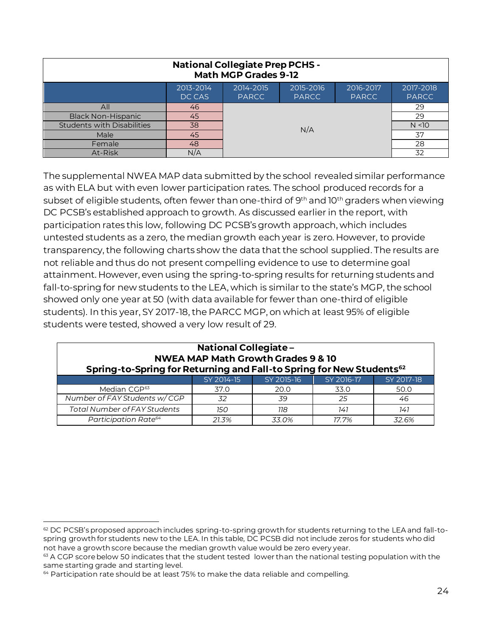| <b>National Collegiate Prep PCHS -</b><br><b>Math MGP Grades 9-12</b>                                                                   |     |                 |  |  |        |  |  |  |  |
|-----------------------------------------------------------------------------------------------------------------------------------------|-----|-----------------|--|--|--------|--|--|--|--|
| 2014-2015<br>2013-2014<br>2015-2016<br>2017-2018<br>2016-2017<br><b>PARCC</b><br><b>PARCC</b><br>DC CAS<br><b>PARCC</b><br><b>PARCC</b> |     |                 |  |  |        |  |  |  |  |
| All                                                                                                                                     | 46  | 29              |  |  |        |  |  |  |  |
| <b>Black Non-Hispanic</b>                                                                                                               | 45  |                 |  |  | 29     |  |  |  |  |
| <b>Students with Disabilities</b>                                                                                                       | 38  |                 |  |  | N < 10 |  |  |  |  |
| Male                                                                                                                                    | 45  | N/A<br>37<br>28 |  |  |        |  |  |  |  |
| Female                                                                                                                                  | 48  |                 |  |  |        |  |  |  |  |
| At-Risk                                                                                                                                 | N/A |                 |  |  | 32     |  |  |  |  |

The supplemental NWEA MAP data submitted by the school revealed similar performance as with ELA but with even lower participation rates. The school produced records for a subset of eligible students, often fewer than one-third of 9<sup>th</sup> and 10<sup>th</sup> graders when viewing DC PCSB's established approach to growth. As discussed earlier in the report, with participation rates this low, following DC PCSB's growth approach, which includes untested students as a zero, the median growth each year is zero. However, to provide transparency, the following charts show the data that the school supplied. The results are not reliable and thus do not present compelling evidence to use to determine goal attainment. However, even using the spring-to-spring results for returning students and fall-to-spring for new students to the LEA, which is similar to the state's MGP, the school showed only one year at 50 (with data available for fewer than one-third of eligible students). In this year, SY 2017-18, the PARCC MGP, on which at least 95% of eligible students were tested, showed a very low result of 29.

| <b>National Collegiate -</b><br><b>NWEA MAP Math Growth Grades 9 &amp; 10</b><br>Spring-to-Spring for Returning and Fall-to Spring for New Students <sup>62</sup> |            |            |            |            |  |  |  |  |
|-------------------------------------------------------------------------------------------------------------------------------------------------------------------|------------|------------|------------|------------|--|--|--|--|
|                                                                                                                                                                   | SY 2014-15 | SY 2015-16 | SY 2016-17 | SY 2017-18 |  |  |  |  |
| Median CGP <sup>63</sup>                                                                                                                                          | 37.0       | 20.0       | 33.0       | 50.0       |  |  |  |  |
| Number of FAY Students w/CGP                                                                                                                                      | 32         | .39        | 25         | 46         |  |  |  |  |
| <b>Total Number of FAY Students</b>                                                                                                                               | 150        | 118        | 141        | 141        |  |  |  |  |
| Participation Rate <sup>64</sup>                                                                                                                                  | 21.3%      | 33.0%      | 17.7%      | 32.6%      |  |  |  |  |

l  $62$  DC PCSB's proposed approach includes spring-to-spring growth for students returning to the LEA and fall-tospring growth for students new to the LEA. In this table, DC PCSB did not include zeros for students who did not have a growth score because the median growth value would be zero every year.

 $63$  A CGP score below 50 indicates that the student tested lower than the national testing population with the same starting grade and starting level.

 $64$  Participation rate should be at least 75% to make the data reliable and compelling.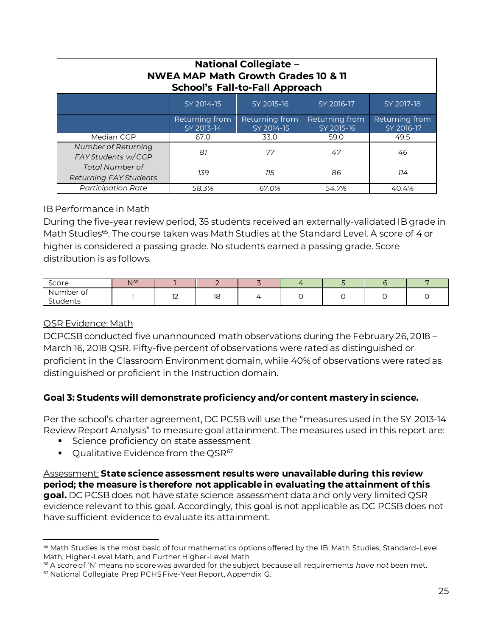| <b>National Collegiate -</b><br><b>NWEA MAP Math Growth Grades 10 &amp; 11</b><br><b>School's Fall-to-Fall Approach</b> |                              |                              |                              |                              |  |  |  |  |
|-------------------------------------------------------------------------------------------------------------------------|------------------------------|------------------------------|------------------------------|------------------------------|--|--|--|--|
|                                                                                                                         | SY 2014-15                   | SY 2015-16                   | SY 2016-17                   | SY 2017-18                   |  |  |  |  |
|                                                                                                                         | Returning from<br>SY 2013-14 | Returning from<br>SY 2014-15 | Returning from<br>SY 2015-16 | Returning from<br>SY 2016-17 |  |  |  |  |
| Median CGP                                                                                                              | 67.0                         | 33.0                         | 59.0                         | 49.5                         |  |  |  |  |
| Number of Returning<br>FAY Students w/CGP                                                                               | 81                           | 77                           | 47                           | 46                           |  |  |  |  |
| <b>Total Number of</b><br><b>Returning FAY Students</b>                                                                 | 139                          | 115                          | 86                           | 114                          |  |  |  |  |
| <b>Participation Rate</b>                                                                                               | 58.3%                        | 67.0%                        | 54.7%                        | 40.4%                        |  |  |  |  |

### IB Performance in Math

During the five-year review period, 35 students received an externally-validated IB grade in Math Studies<sup>65</sup>. The course taken was Math Studies at the Standard Level. A score of 4 or higher is considered a passing grade. No students earned a passing grade. Score distribution is as follows.

| Score                 | $\sqrt{66}$ |             |    |  |  |  |
|-----------------------|-------------|-------------|----|--|--|--|
| Number of<br>Students |             | $\sim$<br>L | 18 |  |  |  |

#### QSR Evidence: Math

l

DCPCSB conducted five unannounced math observations during the February 26, 2018 – March 16, 2018 QSR. Fifty-five percent of observations were rated as distinguished or proficient in the Classroom Environment domain, while 40% of observations were rated as distinguished or proficient in the Instruction domain.

#### **Goal 3: Students will demonstrate proficiency and/or content mastery in science.**

Per the school's charter agreement, DC PCSB will use the "measures used in the SY 2013-14 Review Report Analysis" to measure goal attainment. The measures used in this report are:

- **EXECO FOREX SERVIER** Science proficiency on state assessment
- $\bullet$  Qualitative Evidence from the QSR $^{67}$

#### Assessment: **State science assessment results were unavailable during this review period; the measure is therefore not applicable in evaluating the attainment of this**

**goal.** DC PCSB does not have state science assessment data and only very limited QSR evidence relevant to this goal. Accordingly, this goal is not applicable as DC PCSB does not have sufficient evidence to evaluate its attainment.

<sup>65</sup> Math Studies is the most basic of four mathematics options offered by the IB: Math Studies, Standard-Level Math, Higher-Level Math, and Further Higher-Level Math

<sup>66</sup> A score of 'N' means no score was awarded for the subject because all requirements *have not* been met.

<sup>67</sup> National Collegiate Prep PCHS Five-Year Report, Appendix G.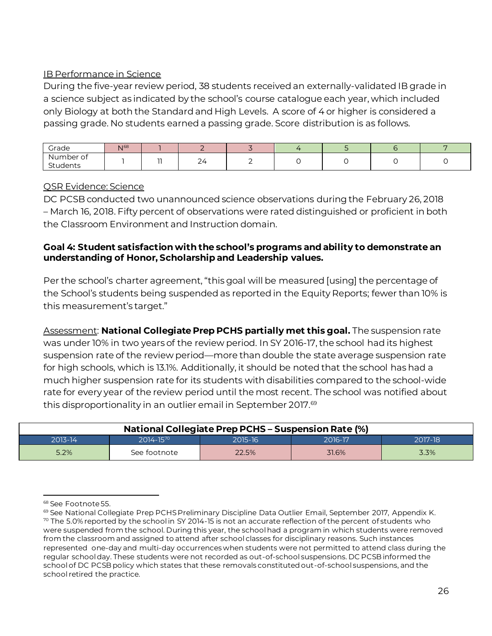#### IB Performance in Science

During the five-year review period, 38 students received an externally-validated IB grade in a science subject as indicated by the school's course catalogue each year, which included only Biology at both the Standard and High Levels. A score of 4 or higher is considered a passing grade. No students earned a passing grade. Score distribution is as follows.

| Grade                 | N <sub>168</sub> |     |     |  |  |  |
|-----------------------|------------------|-----|-----|--|--|--|
| Number of<br>Students |                  | - - | _ _ |  |  |  |

#### QSR Evidence: Science

DC PCSB conducted two unannounced science observations during the February 26, 2018 – March 16, 2018. Fifty percent of observations were rated distinguished or proficient in both the Classroom Environment and Instruction domain.

#### **Goal 4: Student satisfaction with the school's programs and ability to demonstrate an understanding of Honor, Scholarship and Leadership values.**

Per the school's charter agreement, "this goal will be measured [using] the percentage of the School's students being suspended as reported in the Equity Reports; fewer than 10% is this measurement's target."

Assessment: **National Collegiate Prep PCHS partially met this goal.** The suspension rate was under 10% in two years of the review period. In SY 2016-17, the school had its highest suspension rate of the review period—more than double the state average suspension rate for high schools, which is 13.1%. Additionally, it should be noted that the school has had a much higher suspension rate for its students with disabilities compared to the school-wide rate for every year of the review period until the most recent. The school was notified about this disproportionality in an outlier email in September 2017. $\degree$ 

| <b>National Collegiate Prep PCHS - Suspension Rate (%)</b> |               |         |         |         |  |  |  |  |
|------------------------------------------------------------|---------------|---------|---------|---------|--|--|--|--|
| 2013-14                                                    | $2014 - 1570$ | 2015-16 | 2016-17 | 2017-18 |  |  |  |  |
| 5.2%                                                       | See footnote  | 22.5%   | 31.6%   | 3.3%    |  |  |  |  |

l <sup>68</sup> See Footnote 55.

<sup>69</sup> See National Collegiate Prep PCHS Preliminary Discipline Data Outlier Email, September 2017, Appendix K.  $70$  The 5.0% reported by the school in SY 2014-15 is not an accurate reflection of the percent of students who were suspended from the school. During this year, the school had a program in which students were removed from the classroom and assigned to attend after school classes for disciplinary reasons. Such instances represented one-day and multi-day occurrences when students were not permitted to attend class during the regular school day. These students were not recorded as out-of-school suspensions. DC PCSB informed the school of DC PCSB policy which states that these removals constituted out-of-school suspensions, and the school retired the practice.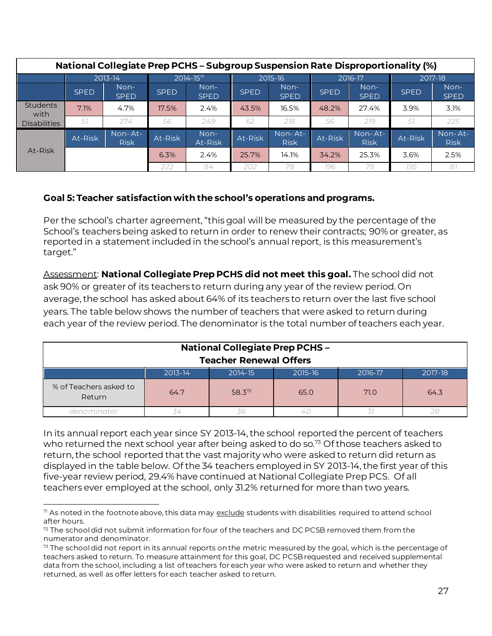| National Collegiate Prep PCHS - Subgroup Suspension Rate Disproportionality (%) |             |                        |                         |                     |             |                        |             |                        |             |                        |
|---------------------------------------------------------------------------------|-------------|------------------------|-------------------------|---------------------|-------------|------------------------|-------------|------------------------|-------------|------------------------|
|                                                                                 |             | 2013-14                | $2014 - 157$<br>2015-16 |                     |             | 2016-17                |             | 2017-18                |             |                        |
|                                                                                 | <b>SPED</b> | Non-<br><b>SPED</b>    | <b>SPED</b>             | Non-<br><b>SPED</b> | <b>SPED</b> | Non-<br><b>SPED</b>    | <b>SPED</b> | Non-<br><b>SPED</b>    | <b>SPED</b> | Non-<br><b>SPED</b>    |
| Students<br>with                                                                | 7.1%        | 4.7%                   | 17.5%                   | 2.4%                | 43.5%       | 16.5%                  | 48.2%       | 27.4%                  | 3.9%        | 3.1%                   |
| <b>Disabilities</b>                                                             | .57         | 274                    | 56                      | 249                 | 62          | 218                    | 56          | 219                    | 57          | 225                    |
|                                                                                 | At-Risk     | Non-At-<br><b>Risk</b> | At-Risk                 | Non-<br>At-Risk     | At-Risk     | Non-At-<br><b>Risk</b> | At-Risk     | Non-At-<br><b>Risk</b> | At-Risk     | Non-At-<br><b>Risk</b> |
| At-Risk                                                                         |             |                        | 6.3%                    | 2.4%                | 25.7%       | 14.1%                  | 34.2%       | 25.3%                  | 3.6%        | 2.5%                   |
|                                                                                 |             |                        | 222                     | 84                  | 202         | 78                     | 196         | 79                     | 79.5        | 81                     |

### **Goal 5: Teacher satisfaction with the school's operations and programs.**

Per the school's charter agreement, "this goal will be measured by the percentage of the School's teachers being asked to return in order to renew their contracts; 90% or greater, as reported in a statement included in the school's annual report, is this measurement's target."

Assessment: **National Collegiate Prep PCHS did not meet this goal.** The school did not ask 90% or greater of its teachers to return during any year of the review period. On average, the school has asked about 64% of its teachers to return over the last five school years. The table below shows the number of teachers that were asked to return during each year of the review period. The denominator is the total number of teachers each year.

| <b>National Collegiate Prep PCHS-</b><br><b>Teacher Renewal Offers</b>     |         |         |         |         |         |  |  |  |  |
|----------------------------------------------------------------------------|---------|---------|---------|---------|---------|--|--|--|--|
|                                                                            | 2013-14 | 2014-15 | 2015-16 | 2016-17 | 2017-18 |  |  |  |  |
| % of Teachers asked to<br>58.372<br>64.3<br>64.7<br>65.0<br>71.0<br>Return |         |         |         |         |         |  |  |  |  |
| denominator                                                                |         |         |         |         |         |  |  |  |  |

In its annual report each year since SY 2013-14, the school reported the percent of teachers who returned the next school year after being asked to do so.<sup>73</sup> Of those teachers asked to return, the school reported that the vast majority who were asked to return did return as displayed in the table below. Of the 34 teachers employed in SY 2013-14, the first year of this five-year review period, 29.4% have continued at National Collegiate Prep PCS. Of all teachers ever employed at the school, only 31.2% returned for more than two years.

l  $\eta$  As noted in the footnote above, this data may exclude students with disabilities required to attend school after hours.

 $72$  The school did not submit information for four of the teachers and DC PCSB removed them from the numerator and denominator.

 $73$  The school did not report in its annual reports on the metric measured by the goal, which is the percentage of teachers asked to return. To measure attainment for this goal, DC PCSB requested and received supplemental data from the school, including a list of teachers for each year who were asked to return and whether they returned, as well as offer letters for each teacher asked to return.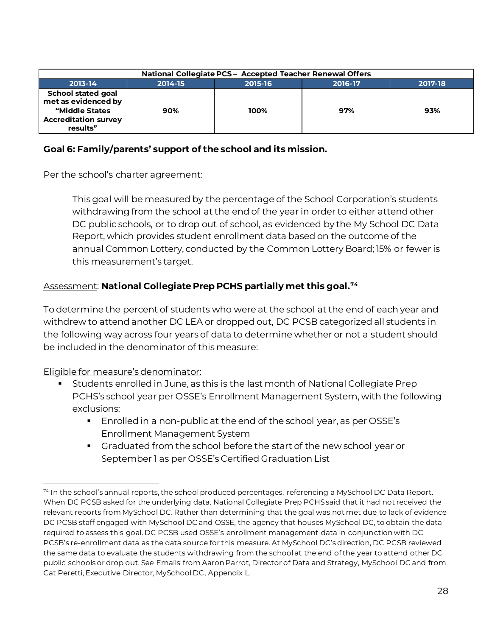| National Collegiate PCS - Accepted Teacher Renewal Offers                                                     |         |         |         |         |  |  |  |  |  |
|---------------------------------------------------------------------------------------------------------------|---------|---------|---------|---------|--|--|--|--|--|
| 2013-14                                                                                                       | 2014-15 | 2015-16 | 2016-17 | 2017-18 |  |  |  |  |  |
| <b>School stated goal</b><br>met as evidenced by<br>"Middle States<br><b>Accreditation survey</b><br>results" | 90%     | 100%    | 97%     | 93%     |  |  |  |  |  |

#### **Goal 6: Family/parents' support of the school and its mission.**

Per the school's charter agreement:

This goal will be measured by the percentage of the School Corporation's students withdrawing from the school at the end of the year in order to either attend other DC public schools, or to drop out of school, as evidenced by the My School DC Data Report, which provides student enrollment data based on the outcome of the annual Common Lottery, conducted by the Common Lottery Board; 15% or fewer is this measurement's target.

#### Assessment: **National Collegiate Prep PCHS partially met this goal.<sup>74</sup>**

To determine the percent of students who were at the school at the end of each year and withdrew to attend another DC LEA or dropped out, DC PCSB categorized all students in the following way across four years of data to determine whether or not a student should be included in the denominator of this measure:

Eligible for measure's denominator:

l

- Students enrolled in June, as this is the last month of National Collegiate Prep PCHS's school year per OSSE's Enrollment Management System, with the following exclusions:
	- Enrolled in a non-public at the end of the school year, as per OSSE's Enrollment Management System
	- Graduated from the school before the start of the new school year or September 1 as per OSSE's Certified Graduation List

<sup>74</sup> In the school's annual reports, the school produced percentages, referencing a MySchool DC Data Report. When DC PCSB asked for the underlying data, National Collegiate Prep PCHS said that it had not received the relevant reports from MySchool DC. Rather than determining that the goal was not met due to lack of evidence DC PCSB staff engaged with MySchool DC and OSSE, the agency that houses MySchool DC, to obtain the data required to assess this goal. DC PCSB used OSSE's enrollment management data in conjunction with DC PCSB's re-enrollment data as the data source for this measure. At MySchool DC's direction, DC PCSB reviewed the same data to evaluate the students withdrawing from the school at the end of the year to attend other DC public schools or drop out. See Emails from Aaron Parrot, Director of Data and Strategy, MySchool DC and from Cat Peretti, Executive Director, MySchool DC, Appendix L.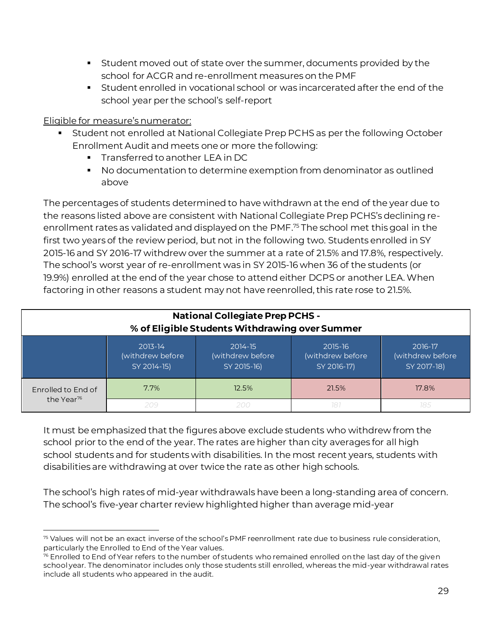- Student moved out of state over the summer, documents provided by the school for ACGR and re-enrollment measures on the PMF
- Student enrolled in vocational school or was incarcerated after the end of the school year per the school's self-report

#### Eligible for measure's numerator:

- Student not enrolled at National Collegiate Prep PCHS as per the following October Enrollment Audit and meets one or more the following:
	- **•** Transferred to another LEA in DC
	- No documentation to determine exemption from denominator as outlined above

The percentages of students determined to have withdrawn at the end of the year due to the reasons listed above are consistent with National Collegiate Prep PCHS's declining reenrollment rates as validated and displayed on the PMF. <sup>75</sup> The school met this goal in the first two years of the review period, but not in the following two. Students enrolled in SY 2015-16 and SY 2016-17 withdrew over the summer at a rate of 21.5% and 17.8%, respectively. The school's worst year of re-enrollment was in SY 2015-16 when 36 of the students (or 19.9%) enrolled at the end of the year chose to attend either DCPS or another LEA. When factoring in other reasons a student may not have reenrolled, this rate rose to 21.5%.

| <b>National Collegiate Prep PCHS -</b><br>% of Eligible Students Withdrawing over Summer |                                            |                                            |                                            |                                            |  |  |  |  |
|------------------------------------------------------------------------------------------|--------------------------------------------|--------------------------------------------|--------------------------------------------|--------------------------------------------|--|--|--|--|
|                                                                                          | 2013-14<br>(withdrew before<br>SY 2014-15) | 2014-15<br>(withdrew before<br>SY 2015-16) | 2015-16<br>(withdrew before<br>SY 2016-17) | 2016-17<br>(withdrew before<br>SY 2017-18) |  |  |  |  |
| Enrolled to End of<br>the Year <sup>76</sup>                                             | 7.7%                                       | 12.5%                                      | 21.5%                                      | 17.8%                                      |  |  |  |  |
|                                                                                          | 209                                        | 200                                        | 181                                        |                                            |  |  |  |  |

It must be emphasized that the figures above exclude students who withdrew from the school prior to the end of the year. The rates are higher than city averages for all high school students and for students with disabilities. In the most recent years, students with disabilities are withdrawing at over twice the rate as other high schools.

The school's high rates of mid-year withdrawals have been a long-standing area of concern. The school's five-year charter review highlighted higher than average mid-year

l <sup>75</sup> Values will not be an exact inverse of the school's PMF reenrollment rate due to business rule consideration, particularly the Enrolled to End of the Year values.

 $76$  Enrolled to End of Year refers to the number of students who remained enrolled on the last day of the given school year. The denominator includes only those students still enrolled, whereas the mid-year withdrawal rates include all students who appeared in the audit.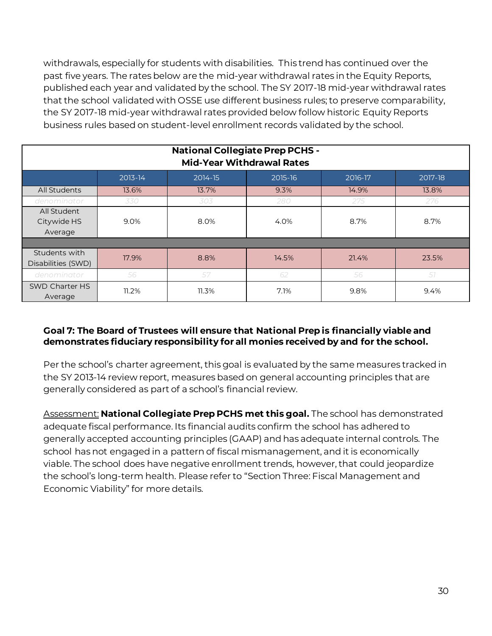withdrawals, especially for students with disabilities. This trend has continued over the past five years. The rates below are the mid-year withdrawal rates in the Equity Reports, published each year and validated by the school. The SY 2017-18 mid-year withdrawal rates that the school validated with OSSE use different business rules; to preserve comparability, the SY 2017-18 mid-year withdrawal rates provided below follow historic Equity Reports business rules based on student-level enrollment records validated by the school.

| <b>National Collegiate Prep PCHS -</b><br><b>Mid-Year Withdrawal Rates</b> |         |         |         |         |         |  |  |  |
|----------------------------------------------------------------------------|---------|---------|---------|---------|---------|--|--|--|
|                                                                            | 2013-14 | 2014-15 | 2015-16 | 2016-17 | 2017-18 |  |  |  |
| All Students                                                               | 13.6%   | 13.7%   | 9.3%    | 14.9%   | 13.8%   |  |  |  |
| denominator                                                                | 330     | 303     | 280     | 275     | 276     |  |  |  |
| All Student<br>Citywide HS<br>Average                                      | 9.0%    | 8.0%    | 4.0%    | 8.7%    | 8.7%    |  |  |  |
|                                                                            |         |         |         |         |         |  |  |  |
| Students with<br>Disabilities (SWD)                                        | 17.9%   | 8.8%    | 14.5%   | 21.4%   | 23.5%   |  |  |  |
| denominator                                                                | 56      | 57      | 62      | 56      | 57      |  |  |  |
| SWD Charter HS<br>Average                                                  | 11.2%   | 11.3%   | 7.1%    | 9.8%    | 9.4%    |  |  |  |

#### **Goal 7: The Board of Trustees will ensure that National Prep is financially viable and demonstrates fiduciary responsibility for all monies received by and for the school.**

Per the school's charter agreement, this goal is evaluated by the same measures tracked in the SY 2013-14 review report, measures based on general accounting principles that are generally considered as part of a school's financial review.

Assessment: **National Collegiate Prep PCHS met this goal.** The school has demonstrated adequate fiscal performance. Its financial audits confirm the school has adhered to generally accepted accounting principles (GAAP) and has adequate internal controls. The school has not engaged in a pattern of fiscal mismanagement, and it is economically viable. The school does have negative enrollment trends, however, that could jeopardize the school's long-term health. Please refer to "Section Three: Fiscal Management and Economic Viability" for more details.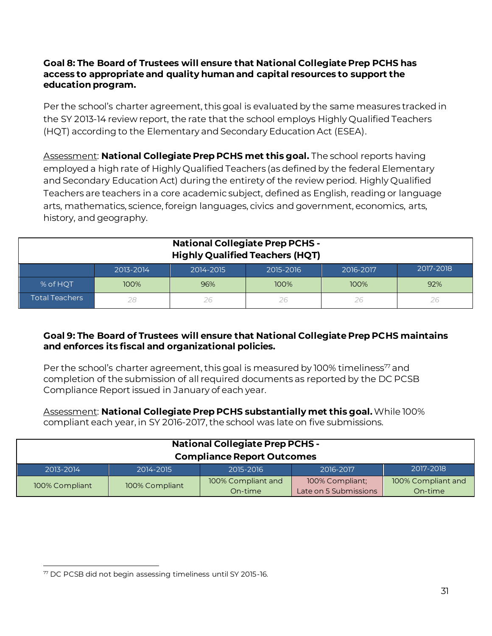#### **Goal 8: The Board of Trustees will ensure that National Collegiate Prep PCHS has access to appropriate and quality human and capital resources to support the education program.**

Per the school's charter agreement, this goal is evaluated by the same measures tracked in the SY 2013-14 review report, the rate that the school employs Highly Qualified Teachers (HQT) according to the Elementary and Secondary Education Act (ESEA).

Assessment: **National Collegiate Prep PCHS met this goal.** The school reports having employed a high rate of Highly Qualified Teachers (as defined by the federal Elementary and Secondary Education Act) during the entirety of the review period. Highly Qualified Teachers are teachers in a core academic subject, defined as English, reading or language arts, mathematics, science, foreign languages, civics and government, economics, arts, history, and geography.

| <b>National Collegiate Prep PCHS -</b><br><b>Highly Qualified Teachers (HQT)</b> |           |           |           |           |           |
|----------------------------------------------------------------------------------|-----------|-----------|-----------|-----------|-----------|
|                                                                                  | 2013-2014 | 2014-2015 | 2015-2016 | 2016-2017 | 2017-2018 |
| % of HQT                                                                         | 100%      | 96%       | 100%      | 100%      | 92%       |
| Total Teachers                                                                   |           | 26        | 26        | 26        | 26        |

#### **Goal 9: The Board of Trustees will ensure that National Collegiate Prep PCHS maintains and enforces its fiscal and organizational policies.**

Per the school's charter agreement, this goal is measured by 100% timeliness<sup>77</sup> and completion of the submission of all required documents as reported by the DC PCSB Compliance Report issued in January of each year.

#### Assessment: **National Collegiate Prep PCHS substantially met this goal.**While 100% compliant each year, in SY 2016-2017, the school was late on five submissions.

| <b>National Collegiate Prep PCHS -</b>                        |                |                               |                                          |                               |  |
|---------------------------------------------------------------|----------------|-------------------------------|------------------------------------------|-------------------------------|--|
| <b>Compliance Report Outcomes</b>                             |                |                               |                                          |                               |  |
| 2017-2018<br>2013-2014<br>2014-2015<br>2015-2016<br>2016-2017 |                |                               |                                          |                               |  |
| 100% Compliant                                                | 100% Compliant | 100% Compliant and<br>On-time | 100% Compliant;<br>Late on 5 Submissions | 100% Compliant and<br>On-time |  |

 $\overline{a}$ <sup>77</sup> DC PCSB did not begin assessing timeliness until SY 2015-16.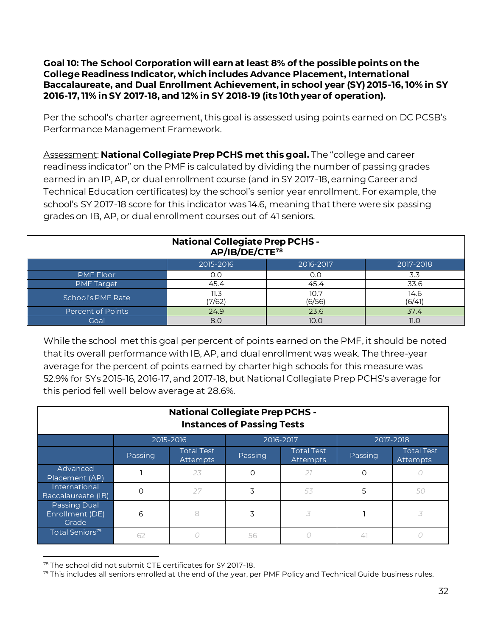**Goal 10: The School Corporation will earn at least 8% of the possible points on the College Readiness Indicator, which includes Advance Placement, International Baccalaureate, and Dual Enrollment Achievement, in school year (SY) 2015-16, 10% in SY 2016-17, 11% in SY 2017-18, and 12% in SY 2018-19 (its 10th year of operation).**

Per the school's charter agreement, this goal is assessed using points earned on DC PCSB's Performance Management Framework.

Assessment: **National Collegiate Prep PCHS met this goal.** The "college and career readiness indicator" on the PMF is calculated by dividing the number of passing grades earned in an IP, AP, or dual enrollment course (and in SY 2017-18, earning Career and Technical Education certificates) by the school's senior year enrollment. For example, the school's SY 2017-18 score for this indicator was 14.6, meaning that there were six passing grades on IB, AP, or dual enrollment courses out of 41 seniors.

| <b>National Collegiate Prep PCHS -</b><br>AP/IB/DE/CTE <sup>78</sup> |                |                |                |  |  |
|----------------------------------------------------------------------|----------------|----------------|----------------|--|--|
|                                                                      | 2015-2016      | 2016-2017      | 2017-2018      |  |  |
| <b>PMF Floor</b>                                                     | 0.0            |                | 3.3            |  |  |
| <b>PMF Target</b>                                                    | 45.4           | 45.4           | 33.6           |  |  |
| School's PMF Rate                                                    | 11.3<br>(7/62) | 10.7<br>(6/56) | 14.6<br>(6/41) |  |  |
| Percent of Points<br>24.9<br>37.4<br>23.6                            |                |                |                |  |  |
| Goal                                                                 | 8.0            | 10.0           | 11.0           |  |  |

While the school met this goal per percent of points earned on the PMF, it should be noted that its overall performance with IB, AP, and dual enrollment was weak. The three-year average for the percent of points earned by charter high schools for this measure was 52.9% for SYs 2015-16, 2016-17, and 2017-18, but National Collegiate Prep PCHS's average for this period fell well below average at 28.6%.

| <b>National Collegiate Prep PCHS -</b><br><b>Instances of Passing Tests</b> |         |                                      |               |                                      |           |                               |
|-----------------------------------------------------------------------------|---------|--------------------------------------|---------------|--------------------------------------|-----------|-------------------------------|
|                                                                             |         | 2015-2016                            | $2016 - 2017$ |                                      | 2017-2018 |                               |
|                                                                             | Passing | <b>Total Test</b><br><b>Attempts</b> | Passing       | <b>Total Test</b><br><b>Attempts</b> | Passing   | <b>Total Test</b><br>Attempts |
| Advanced<br>Placement (AP)                                                  |         | 23                                   | Ω             | 27                                   | Ω         |                               |
| International<br>Baccalaureate (IB)                                         | $\circ$ | 27                                   | 3             | 53                                   | 5         | 50                            |
| <b>Passing Dual</b><br>Enrollment (DE)<br>Grade                             | 6       | 8                                    | 3             | 3                                    |           | 3                             |
| Total Seniors <sup>79</sup>                                                 | 62      |                                      | 56            |                                      | 41        |                               |

l <sup>78</sup> The school did not submit CTE certificates for SY 2017-18.

 $79$  This includes all seniors enrolled at the end of the year, per PMF Policy and Technical Guide business rules.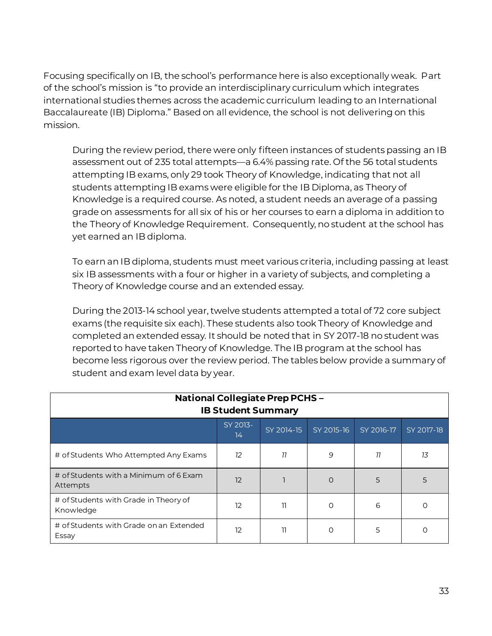Focusing specifically on IB, the school's performance here is also exceptionally weak. Part of the school's mission is "to provide an interdisciplinary curriculum which integrates international studies themes across the academic curriculum leading to an International Baccalaureate (IB) Diploma." Based on all evidence, the school is not delivering on this mission.

During the review period, there were only fifteen instances of students passing an IB assessment out of 235 total attempts—a 6.4% passing rate. Of the 56 total students attempting IB exams, only 29 took Theory of Knowledge, indicating that not all students attempting IB exams were eligible for the IB Diploma, as Theory of Knowledge is a required course. As noted, a student needs an average of a passing grade on assessments for all six of his or her courses to earn a diploma in addition to the Theory of Knowledge Requirement. Consequently, no student at the school has yet earned an IB diploma.

To earn an IB diploma, students must meet various criteria, including passing at least six IB assessments with a four or higher in a variety of subjects, and completing a Theory of Knowledge course and an extended essay.

During the 2013-14 school year, twelve students attempted a total of 72 core subject exams (the requisite six each). These students also took Theory of Knowledge and completed an extended essay. It should be noted that in SY 2017-18 no student was reported to have taken Theory of Knowledge. The IB program at the school has become less rigorous over the review period. The tables below provide a summary of student and exam level data by year.

| <b>National Collegiate Prep PCHS-</b><br><b>IB Student Summary</b> |                |            |            |            |            |
|--------------------------------------------------------------------|----------------|------------|------------|------------|------------|
|                                                                    | SY 2013-<br>14 | SY 2014-15 | SY 2015-16 | SY 2016-17 | SY 2017-18 |
| # of Students Who Attempted Any Exams                              | 12             | 77         | 9          | 77         | 13         |
| # of Students with a Minimum of 6 Exam<br>Attempts                 | 12             |            | $\Omega$   | 5          | 5          |
| # of Students with Grade in Theory of<br>Knowledge                 | 12             | 11         | $\circ$    | 6          |            |
| # of Students with Grade on an Extended<br>Essay                   | 12             | 11         | O          | 5          |            |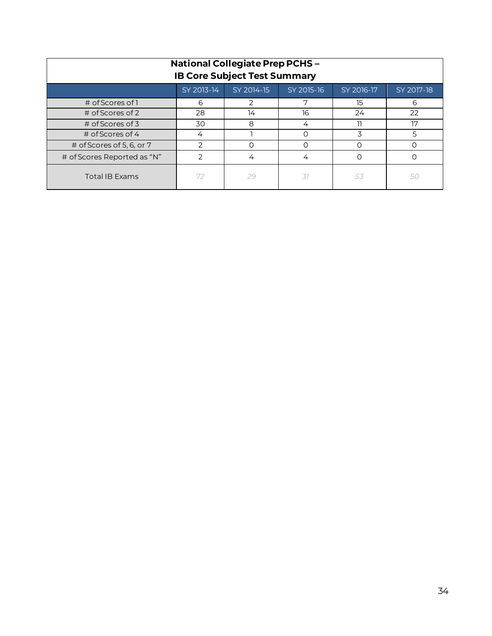| <b>National Collegiate Prep PCHS-</b><br><b>IB Core Subject Test Summary</b> |            |                |            |            |            |  |  |
|------------------------------------------------------------------------------|------------|----------------|------------|------------|------------|--|--|
|                                                                              | SY 2013-14 | SY 2014-15     | SY 2015-16 | SY 2016-17 | SY 2017-18 |  |  |
| # of Scores of 1                                                             | 6          | $\overline{2}$ | 7          | 15         | 6          |  |  |
| # of Scores of 2                                                             | 28         | 14             | 16         | 24         | 22         |  |  |
| # of Scores of 3                                                             | 30         | 8              | 4          |            | 17         |  |  |
| $\#$ of Scores of 4                                                          | 4          |                |            | 3          | 5          |  |  |
| # of Scores of 5, 6, or 7                                                    |            | Ω              |            |            |            |  |  |
| # of Scores Reported as "N"<br>っ<br>4<br>4                                   |            |                |            |            |            |  |  |
| <b>Total IB Exams</b>                                                        | 72         | 29             | .37        | 53         |            |  |  |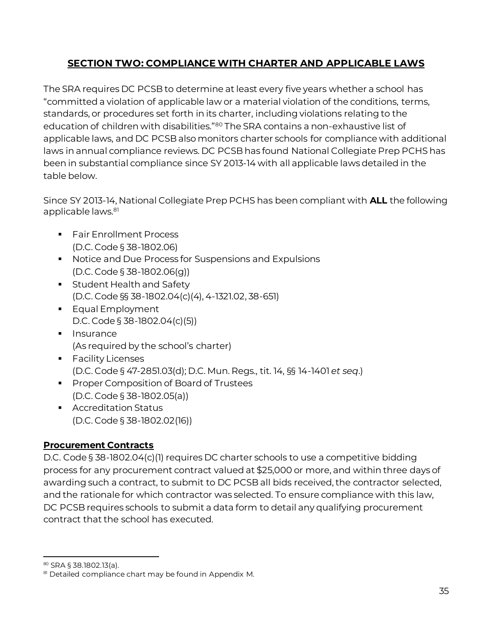# **SECTION TWO: COMPLIANCE WITH CHARTER AND APPLICABLE LAWS**

<span id="page-36-0"></span>The SRA requires DC PCSB to determine at least every five years whether a school has "committed a violation of applicable law or a material violation of the conditions, terms, standards, or procedures set forth in its charter, including violations relating to the education of children with disabilities."<sup>80</sup> The SRA contains a non-exhaustive list of applicable laws, and DC PCSB also monitors charter schools for compliance with additional laws in annual compliance reviews. DC PCSB has found National Collegiate Prep PCHS has been in substantial compliance since SY 2013-14 with all applicable laws detailed in the table below.

Since SY 2013-14, National Collegiate Prep PCHS has been compliant with **ALL** the following applicable laws.<sup>81</sup>

- **•** Fair Enrollment Process (D.C. Code § 38-1802.06)
- Notice and Due Process for Suspensions and Expulsions (D.C. Code § 38-1802.06(g))
- **EXEC** Student Health and Safety (D.C. Code §§ 38-1802.04(c)(4), 4-1321.02, 38-651)
- **Equal Employment** D.C. Code § 38-1802.04(c)(5))
- Insurance (As required by the school's charter)
- Facility Licenses (D.C. Code § 47-2851.03(d); D.C. Mun. Regs., tit. 14, §§ 14-1401 *et seq*.)
- Proper Composition of Board of Trustees (D.C. Code § 38-1802.05(a))
- Accreditation Status (D.C. Code § 38-1802.02(16))

# **Procurement Contracts**

D.C. Code § 38-1802.04(c)(1) requires DC charter schools to use a competitive bidding process for any procurement contract valued at \$25,000 or more, and within three days of awarding such a contract, to submit to DC PCSB all bids received, the contractor selected, and the rationale for which contractor was selected. To ensure compliance with this law, DC PCSB requires schools to submit a data form to detail any qualifying procurement contract that the school has executed.

l

<sup>80</sup> SRA § 38.1802.13(a).

<sup>81</sup> Detailed compliance chart may be found in Appendix M.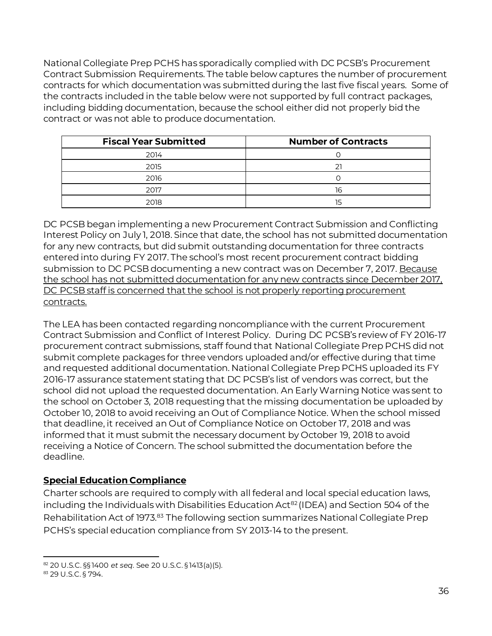National Collegiate Prep PCHS has sporadically complied with DC PCSB's Procurement Contract Submission Requirements. The table below captures the number of procurement contracts for which documentation was submitted during the last five fiscal years. Some of the contracts included in the table below were not supported by full contract packages, including bidding documentation, because the school either did not properly bid the contract or was not able to produce documentation.

| <b>Fiscal Year Submitted</b> | <b>Number of Contracts</b> |
|------------------------------|----------------------------|
| 2014                         |                            |
| 2015                         | 21                         |
| 2016                         |                            |
| 2017                         | 16                         |
| 2018                         | 15                         |

DC PCSB began implementing a new Procurement Contract Submission and Conflicting Interest Policy on July 1, 2018. Since that date, the school has not submitted documentation for any new contracts, but did submit outstanding documentation for three contracts entered into during FY 2017. The school's most recent procurement contract bidding submission to DC PCSB documenting a new contract was on December 7, 2017. Because the school has not submitted documentation for any new contracts since December 2017, DC PCSB staff is concerned that the school is not properly reporting procurement contracts.

The LEA has been contacted regarding noncompliance with the current Procurement Contract Submission and Conflict of Interest Policy. During DC PCSB's review of FY 2016-17 procurement contract submissions, staff found that National Collegiate Prep PCHS did not submit complete packages for three vendors uploaded and/or effective during that time and requested additional documentation. National Collegiate Prep PCHS uploaded its FY 2016-17 assurance statement stating that DC PCSB's list of vendors was correct, but the school did not upload the requested documentation. An Early Warning Notice was sent to the school on October 3, 2018 requesting that the missing documentation be uploaded by October 10, 2018 to avoid receiving an Out of Compliance Notice. When the school missed that deadline, it received an Out of Compliance Notice on October 17, 2018 and was informed that it must submit the necessary document by October 19, 2018 to avoid receiving a Notice of Concern. The school submitted the documentation before the deadline.

# **Special Education Compliance**

Charter schools are required to comply with all federal and local special education laws, including the Individuals with Disabilities Education Act<sup>82</sup> (IDEA) and Section 504 of the Rehabilitation Act of 1973.<sup>83</sup> The following section summarizes National Collegiate Prep PCHS's special education compliance from SY 2013-14 to the present.

l <sup>82</sup> 20 U.S.C. §§ 1400 *et seq*. See 20 U.S.C. § 1413(a)(5)*.*

<sup>83</sup> 29 U.S.C. § 794.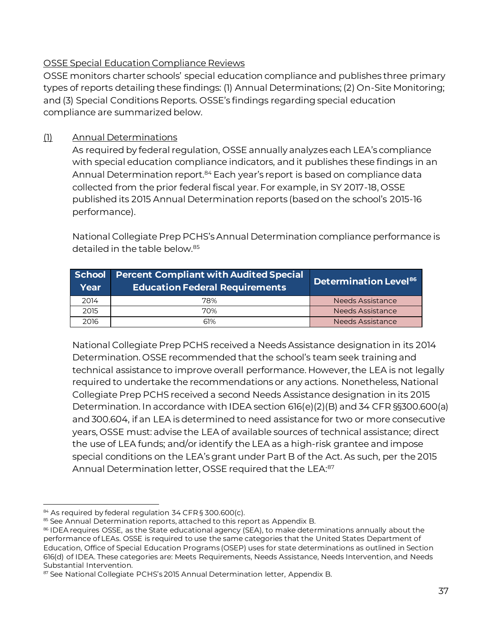#### OSSE Special Education Compliance Reviews

OSSE monitors charter schools' special education compliance and publishes three primary types of reports detailing these findings: (1) Annual Determinations; (2) On-Site Monitoring; and (3) Special Conditions Reports. OSSE's findings regarding special education compliance are summarized below.

# (1) Annual Determinations

As required by federal regulation, OSSE annually analyzes each LEA's compliance with special education compliance indicators, and it publishes these findings in an Annual Determination report.<sup>84</sup> Each year's report is based on compliance data collected from the prior federal fiscal year. For example, in SY 2017-18, OSSE published its 2015 Annual Determination reports (based on the school's 2015-16 performance).

National Collegiate Prep PCHS's Annual Determination compliance performance is detailed in the table below.<sup>85</sup>

| School<br>Year | <b>Percent Compliant with Audited Special</b><br><b>Education Federal Requirements</b> | Determination Level <sup>86</sup> |
|----------------|----------------------------------------------------------------------------------------|-----------------------------------|
| 2014           | 78%                                                                                    | <b>Needs Assistance</b>           |
| 2015           | 70%                                                                                    | Needs Assistance                  |
| 2016           | 61%                                                                                    | Needs Assistance                  |

National Collegiate Prep PCHS received a Needs Assistance designation in its 2014 Determination. OSSE recommended that the school's team seek training and technical assistance to improve overall performance. However, the LEA is not legally required to undertake the recommendations or any actions. Nonetheless, National Collegiate Prep PCHS received a second Needs Assistance designation in its 2015 Determination. In accordance with IDEA section 616(e)(2)(B) and 34 CFR §§300.600(a) and 300.604, if an LEA is determined to need assistance for two or more consecutive years, OSSE must: advise the LEA of available sources of technical assistance; direct the use of LEA funds; and/or identify the LEA as a high-risk grantee and impose special conditions on the LEA's grant under Part B of the Act. As such, per the 2015 Annual Determination letter, OSSE required that the LEA:<sup>87</sup>

l 84 As required by federal regulation 34 CFR § 300.600(c).

<sup>85</sup> See Annual Determination reports, attached to this report as Appendix B.

<sup>86</sup> IDEA requires OSSE, as the State educational agency (SEA), to make determinations annually about the performance of LEAs. OSSE is required to use the same categories that the United States Department of Education, Office of Special Education Programs (OSEP) uses for state determinations as outlined in Section 616(d) of IDEA. These categories are: Meets Requirements, Needs Assistance, Needs Intervention, and Needs Substantial Intervention.

<sup>87</sup> See National Collegiate PCHS's 2015 Annual Determination letter, Appendix B.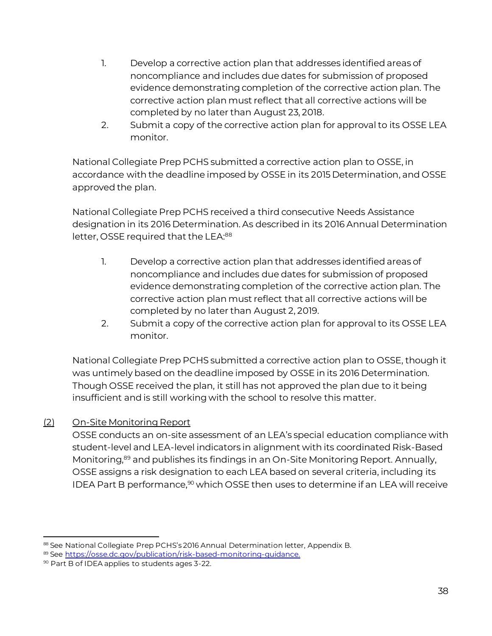- 1. Develop a corrective action plan that addresses identified areas of noncompliance and includes due dates for submission of proposed evidence demonstrating completion of the corrective action plan. The corrective action plan must reflect that all corrective actions will be completed by no later than August 23, 2018.
- 2. Submit a copy of the corrective action plan for approval to its OSSE LEA monitor.

National Collegiate Prep PCHS submitted a corrective action plan to OSSE, in accordance with the deadline imposed by OSSE in its 2015 Determination, and OSSE approved the plan.

National Collegiate Prep PCHS received a third consecutive Needs Assistance designation in its 2016 Determination. As described in its 2016 Annual Determination letter, OSSE required that the LEA:<sup>88</sup>

- 1. Develop a corrective action plan that addresses identified areas of noncompliance and includes due dates for submission of proposed evidence demonstrating completion of the corrective action plan. The corrective action plan must reflect that all corrective actions will be completed by no later than August 2, 2019.
- 2. Submit a copy of the corrective action plan for approval to its OSSE LEA monitor.

National Collegiate Prep PCHS submitted a corrective action plan to OSSE, though it was untimely based on the deadline imposed by OSSE in its 2016 Determination. Though OSSE received the plan, it still has not approved the plan due to it being insufficient and is still working with the school to resolve this matter.

# (2) On-Site Monitoring Report

OSSE conducts an on-site assessment of an LEA's special education compliance with student-level and LEA-level indicators in alignment with its coordinated Risk-Based Monitoring,<sup>89</sup> and publishes its findings in an On-Site Monitoring Report. Annually, OSSE assigns a risk designation to each LEA based on several criteria, including its IDEA Part B performance, $90$  which OSSE then uses to determine if an LEA will receive

l 88 See National Collegiate Prep PCHS's 2016 Annual Determination letter, Appendix B.

<sup>89</sup> See [https://osse.dc.gov/publication/risk-based-monitoring-guidance.](https://osse.dc.gov/publication/risk-based-monitoring-guidance)

<sup>90</sup> Part B of IDEA applies to students ages 3-22.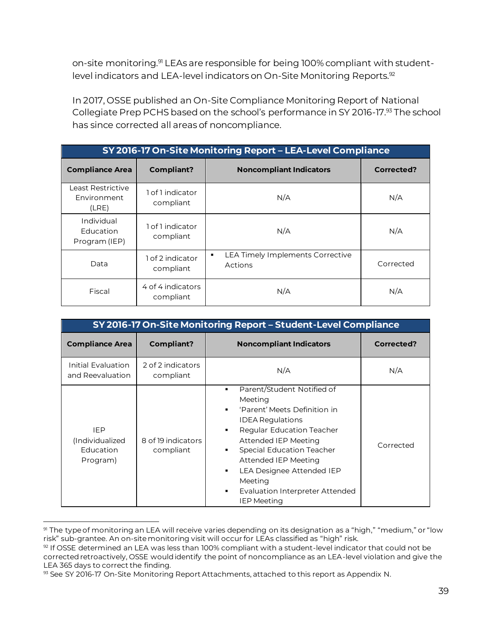on-site monitoring.<sup>91</sup> LEAs are responsible for being 100% compliant with studentlevel indicators and LEA-level indicators on On-Site Monitoring Reports.<sup>92</sup>

In 2017, OSSE published an On-Site Compliance Monitoring Report of National Collegiate Prep PCHS based on the school's performance in SY 2016-17.93 The school has since corrected all areas of noncompliance.

| SY 2016-17 On-Site Monitoring Report - LEA-Level Compliance |                                |                                                  |            |  |  |
|-------------------------------------------------------------|--------------------------------|--------------------------------------------------|------------|--|--|
| <b>Compliance Area</b>                                      | <b>Compliant?</b>              | <b>Noncompliant Indicators</b>                   | Corrected? |  |  |
| Least Restrictive<br>Environment<br>(LRE)                   | 1 of 1 indicator<br>compliant  | N/A                                              | N/A        |  |  |
| Individual<br>Education<br>Program (IEP)                    | 1 of 1 indicator<br>compliant  | N/A                                              | N/A        |  |  |
| Data                                                        | 1 of 2 indicator<br>compliant  | LEA Timely Implements Corrective<br>٠<br>Actions | Corrected  |  |  |
| Fiscal                                                      | 4 of 4 indicators<br>compliant | N/A                                              | N/A        |  |  |

|                                                 | SY 2016-17 On-Site Monitoring Report - Student-Level Compliance |                                                                                                                                                                                                                                                                                                                                                     |            |  |  |
|-------------------------------------------------|-----------------------------------------------------------------|-----------------------------------------------------------------------------------------------------------------------------------------------------------------------------------------------------------------------------------------------------------------------------------------------------------------------------------------------------|------------|--|--|
| <b>Compliance Area</b>                          | <b>Compliant?</b>                                               | <b>Noncompliant Indicators</b>                                                                                                                                                                                                                                                                                                                      | Corrected? |  |  |
| Initial Evaluation<br>and Reevaluation          | 2 of 2 indicators<br>compliant                                  | N/A                                                                                                                                                                                                                                                                                                                                                 | N/A        |  |  |
| IEP<br>(Individualized<br>Education<br>Program) | 8 of 19 indicators<br>compliant                                 | Parent/Student Notified of<br>Meeting<br>'Parent' Meets Definition in<br>$\blacksquare$<br><b>IDEA Regulations</b><br><b>Regular Education Teacher</b><br>٠<br>Attended IEP Meeting<br><b>Special Education Teacher</b><br>٠<br>Attended IEP Meeting<br>LEA Designee Attended IEP<br>Meeting<br>Evaluation Interpreter Attended<br>٠<br>IEP Meeting | Corrected  |  |  |

l 91 The type of monitoring an LEA will receive varies depending on its designation as a "high," "medium," or "low risk" sub-grantee. An on-site monitoring visit will occur for LEAs classified as "high" risk.

 $92$  If OSSE determined an LEA was less than 100% compliant with a student-level indicator that could not be corrected retroactively, OSSE would identify the point of noncompliance as an LEA-level violation and give the LEA 365 days to correct the finding.

<sup>93</sup> See SY 2016-17 On-Site Monitoring Report Attachments, attached to this report as Appendix N.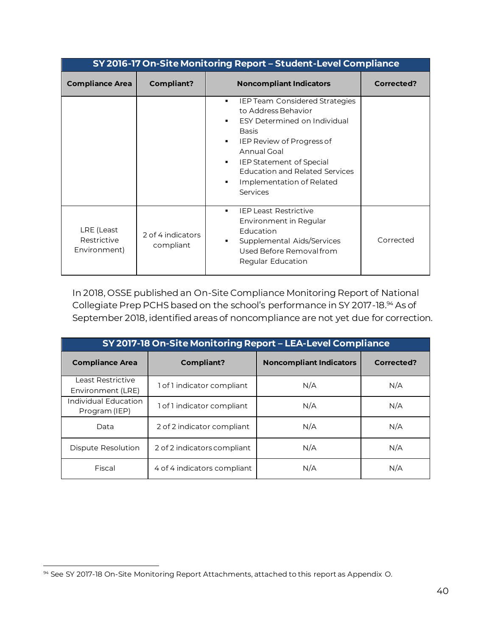|                                           | SY 2016-17 On-Site Monitoring Report - Student-Level Compliance |                                                                                                                                                                                                                                                                                                                                                                   |            |  |  |
|-------------------------------------------|-----------------------------------------------------------------|-------------------------------------------------------------------------------------------------------------------------------------------------------------------------------------------------------------------------------------------------------------------------------------------------------------------------------------------------------------------|------------|--|--|
| <b>Compliance Area</b>                    | <b>Compliant?</b>                                               | <b>Noncompliant Indicators</b>                                                                                                                                                                                                                                                                                                                                    | Corrected? |  |  |
|                                           |                                                                 | <b>IEP Team Considered Strategies</b><br>٠<br>to Address Behavior<br><b>ESY Determined on Individual</b><br>$\blacksquare$<br><b>Basis</b><br>IEP Review of Progress of<br>$\blacksquare$<br>Annual Goal<br><b>IEP Statement of Special</b><br>$\blacksquare$<br><b>Education and Related Services</b><br>Implementation of Related<br>$\blacksquare$<br>Services |            |  |  |
| LRE (Least<br>Restrictive<br>Environment) | 2 of 4 indicators<br>compliant                                  | <b>IFPI east Restrictive</b><br>$\blacksquare$<br>Environment in Regular<br>Education<br>Supplemental Aids/Services<br>٠<br>Used Before Removal from<br>Regular Education                                                                                                                                                                                         | Corrected  |  |  |

In 2018, OSSE published an On-Site Compliance Monitoring Report of National Collegiate Prep PCHS based on the school's performance in SY 2017-18.<sup>94</sup> As of September 2018, identified areas of noncompliance are not yet due for correction.

| SY 2017-18 On-Site Monitoring Report - LEA-Level Compliance |                             |                                |            |  |  |
|-------------------------------------------------------------|-----------------------------|--------------------------------|------------|--|--|
| <b>Compliance Area</b>                                      | Compliant?                  | <b>Noncompliant Indicators</b> | Corrected? |  |  |
| Least Restrictive<br>Environment (LRE)                      | 1 of 1 indicator compliant  | N/A                            | N/A        |  |  |
| Individual Education<br>Program (IEP)                       | 1 of 1 indicator compliant  | N/A                            | N/A        |  |  |
| Data                                                        | 2 of 2 indicator compliant  | N/A                            | N/A        |  |  |
| Dispute Resolution                                          | 2 of 2 indicators compliant | N/A                            | N/A        |  |  |
| Fiscal                                                      | 4 of 4 indicators compliant | N/A                            | N/A        |  |  |

 $\overline{a}$ 94 See SY 2017-18 On-Site Monitoring Report Attachments, attached to this report as Appendix O.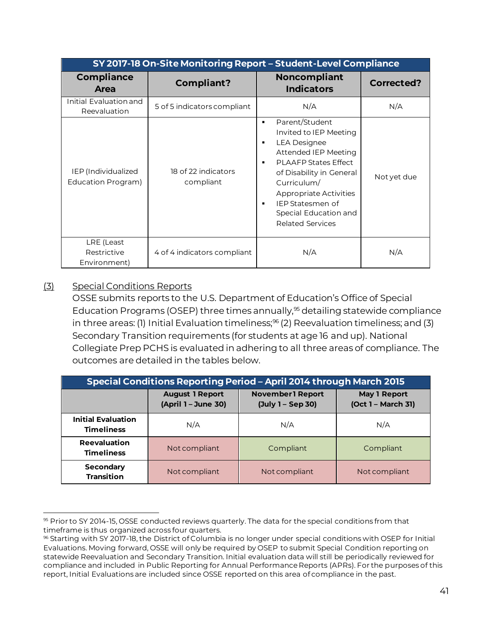|                                           | SY 2017-18 On-Site Monitoring Report - Student-Level Compliance |                                                                                                                                                                                                                                                                                                                                |                   |  |  |  |  |  |  |
|-------------------------------------------|-----------------------------------------------------------------|--------------------------------------------------------------------------------------------------------------------------------------------------------------------------------------------------------------------------------------------------------------------------------------------------------------------------------|-------------------|--|--|--|--|--|--|
| <b>Compliance</b><br>Area                 | <b>Compliant?</b>                                               | <b>Noncompliant</b><br><b>Indicators</b>                                                                                                                                                                                                                                                                                       | <b>Corrected?</b> |  |  |  |  |  |  |
| Initial Evaluation and<br>Reevaluation    | 5 of 5 indicators compliant                                     | N/A                                                                                                                                                                                                                                                                                                                            | N/A               |  |  |  |  |  |  |
| IEP (Individualized<br>Education Program) | 18 of 22 indicators<br>compliant                                | Parent/Student<br>$\blacksquare$<br>Invited to IEP Meeting<br><b>LEA Designee</b><br>$\blacksquare$<br>Attended IEP Meeting<br><b>PLAAFP States Effect</b><br>$\blacksquare$<br>of Disability in General<br>Curriculum/<br>Appropriate Activities<br>IEP Statesmen of<br>٠<br>Special Education and<br><b>Related Services</b> | Not yet due       |  |  |  |  |  |  |
| LRE (Least<br>Restrictive<br>Environment) | 4 of 4 indicators compliant                                     | N/A                                                                                                                                                                                                                                                                                                                            | N/A               |  |  |  |  |  |  |

#### (3) Special Conditions Reports

OSSE submits reports to the U.S. Department of Education's Office of Special Education Programs (OSEP) three times annually,<sup>95</sup> detailing statewide compliance in three areas: (1) Initial Evaluation timeliness;<sup>96</sup> (2) Reevaluation timeliness; and (3) Secondary Transition requirements (for students at age 16 and up). National Collegiate Prep PCHS is evaluated in adhering to all three areas of compliance. The outcomes are detailed in the tables below.

| <b>Special Conditions Reporting Period - April 2014 through March 2015</b> |                                               |                                    |               |  |  |  |  |
|----------------------------------------------------------------------------|-----------------------------------------------|------------------------------------|---------------|--|--|--|--|
|                                                                            | <b>August 1 Report</b><br>(April 1 - June 30) | May 1 Report<br>(Oct 1 - March 31) |               |  |  |  |  |
| <b>Initial Evaluation</b><br><b>Timeliness</b>                             | N/A                                           | N/A                                | N/A           |  |  |  |  |
| Reevaluation<br><b>Timeliness</b>                                          | Not compliant                                 | Compliant                          | Compliant     |  |  |  |  |
| Secondary<br><b>Transition</b>                                             | Not compliant                                 | Not compliant                      | Not compliant |  |  |  |  |

l <sup>95</sup> Prior to SY 2014-15, OSSE conducted reviews quarterly. The data for the special conditions from that timeframe is thus organized across four quarters.

<sup>96</sup> Starting with SY 2017-18, the District of Columbia is no longer under special conditions with OSEP for Initial Evaluations. Moving forward, OSSE will only be required by OSEP to submit Special Condition reporting on statewide Reevaluation and Secondary Transition. Initial evaluation data will still be periodically reviewed for compliance and included in Public Reporting for Annual Performance Reports (APRs). For the purposes of this report, Initial Evaluations are included since OSSE reported on this area of compliance in the past.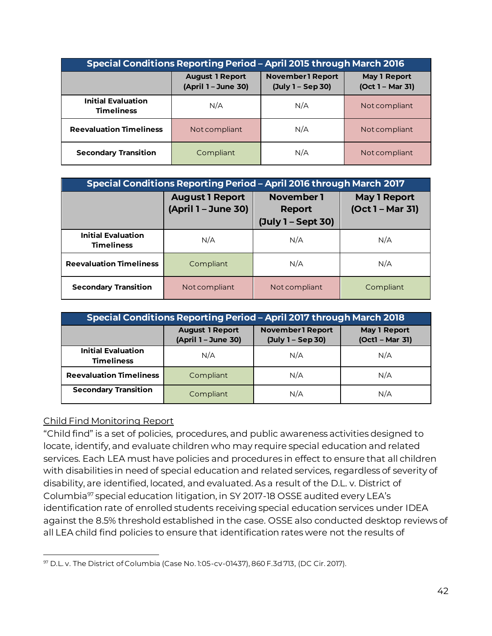| <b>Special Conditions Reporting Period - April 2015 through March 2016</b> |                                               |                                         |               |  |  |  |
|----------------------------------------------------------------------------|-----------------------------------------------|-----------------------------------------|---------------|--|--|--|
|                                                                            | <b>August 1 Report</b><br>(April 1 - June 30) | <b>May 1 Report</b><br>(Oct 1 - Mar 31) |               |  |  |  |
| <b>Initial Evaluation</b><br><b>Timeliness</b>                             | N/A                                           | N/A                                     | Not compliant |  |  |  |
| <b>Reevaluation Timeliness</b>                                             | Not compliant                                 | N/A                                     | Not compliant |  |  |  |
| <b>Secondary Transition</b>                                                | Compliant                                     | N/A                                     | Not compliant |  |  |  |

| Special Conditions Reporting Period - April 2016 through March 2017 |                                               |                                         |           |  |  |  |  |
|---------------------------------------------------------------------|-----------------------------------------------|-----------------------------------------|-----------|--|--|--|--|
|                                                                     | <b>August 1 Report</b><br>(April 1 - June 30) | <b>May 1 Report</b><br>(Oct 1 - Mar 31) |           |  |  |  |  |
| <b>Initial Evaluation</b><br><b>Timeliness</b>                      | N/A                                           | N/A                                     | N/A       |  |  |  |  |
| <b>Reevaluation Timeliness</b>                                      | Compliant                                     | N/A                                     | N/A       |  |  |  |  |
| <b>Secondary Transition</b>                                         | Not compliant                                 | Not compliant                           | Compliant |  |  |  |  |

| <b>Special Conditions Reporting Period - April 2017 through March 2018</b> |                                                                                                                                           |     |     |  |  |  |  |
|----------------------------------------------------------------------------|-------------------------------------------------------------------------------------------------------------------------------------------|-----|-----|--|--|--|--|
|                                                                            | <b>November1 Report</b><br><b>August 1 Report</b><br><b>May 1 Report</b><br>(April 1 - June 30)<br>$(Oct1 - Mar 31)$<br>(July 1 - Sep 30) |     |     |  |  |  |  |
| <b>Initial Evaluation</b><br><b>Timeliness</b>                             | N/A                                                                                                                                       | N/A | N/A |  |  |  |  |
| <b>Reevaluation Timeliness</b>                                             | Compliant                                                                                                                                 | N/A | N/A |  |  |  |  |
| <b>Secondary Transition</b>                                                | Compliant                                                                                                                                 | N/A | N/A |  |  |  |  |

#### Child Find Monitoring Report

"Child find" is a set of policies, procedures, and public awareness activities designed to locate, identify, and evaluate children who may require special education and related services. Each LEA must have policies and procedures in effect to ensure that all children with disabilities in need of special education and related services, regardless of severity of disability, are identified, located, and evaluated. As a result of the D.L. v. District of Columbia<sup>97</sup> special education litigation, in SY 2017-18 OSSE audited every LEA's identification rate of enrolled students receiving special education services under IDEA against the 8.5% threshold established in the case. OSSE also conducted desktop reviews of all LEA child find policies to ensure that identification rates were not the results of

l <sup>97</sup> D.L. v. The District of Columbia (Case No. 1:05-cv-01437), 860 F.3d 713, (DC Cir. 2017).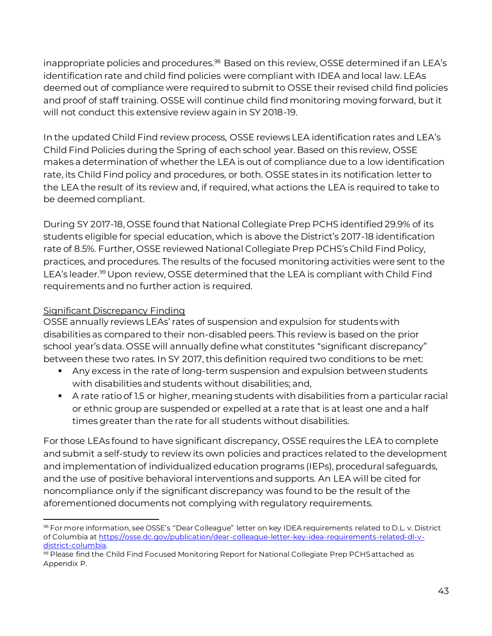inappropriate policies and procedures.<sup>98</sup> Based on this review, OSSE determined if an LEA's identification rate and child find policies were compliant with IDEA and local law. LEAs deemed out of compliance were required to submit to OSSE their revised child find policies and proof of staff training. OSSE will continue child find monitoring moving forward, but it will not conduct this extensive review again in SY 2018-19.

In the updated Child Find review process, OSSE reviews LEA identification rates and LEA's Child Find Policies during the Spring of each school year. Based on this review, OSSE makes a determination of whether the LEA is out of compliance due to a low identification rate, its Child Find policy and procedures, or both. OSSE states in its notification letter to the LEA the result of its review and, if required, what actions the LEA is required to take to be deemed compliant.

During SY 2017-18, OSSE found that National Collegiate Prep PCHS identified 29.9% of its students eligible for special education, which is above the District's 2017-18 identification rate of 8.5%. Further, OSSE reviewed National Collegiate Prep PCHS's Child Find Policy, practices, and procedures. The results of the focused monitoring activities were sent to the LEA's leader.<sup>99</sup> Upon review, OSSE determined that the LEA is compliant with Child Find requirements and no further action is required.

# Significant Discrepancy Finding

OSSE annually reviews LEAs' rates of suspension and expulsion for students with disabilities as compared to their non-disabled peers. This review is based on the prior school year's data. OSSE will annually define what constitutes "significant discrepancy" between these two rates. In SY 2017, this definition required two conditions to be met:

- Any excess in the rate of long-term suspension and expulsion between students with disabilities and students without disabilities; and,
- A rate ratio of 1.5 or higher, meaning students with disabilities from a particular racial or ethnic group are suspended or expelled at a rate that is at least one and a half times greater than the rate for all students without disabilities.

For those LEAs found to have significant discrepancy, OSSE requires the LEA to complete and submit a self-study to review its own policies and practices related to the development and implementation of individualized education programs (IEPs), procedural safeguards, and the use of positive behavioral interventions and supports. An LEA will be cited for noncompliance only if the significant discrepancy was found to be the result of the aforementioned documents not complying with regulatory requirements.

l <sup>98</sup> For more information, see OSSE's "Dear Colleague" letter on key IDEA requirements related to D.L. v. District of Columbia a[t https://osse.dc.gov/publication/dear-colleague-letter-key-idea-requirements-related-dl-v](https://osse.dc.gov/publication/dear-colleague-letter-key-idea-requirements-related-dl-v-district-columbia)[district-columbia.](https://osse.dc.gov/publication/dear-colleague-letter-key-idea-requirements-related-dl-v-district-columbia)

<sup>99</sup> Please find the Child Find Focused Monitoring Report for National Collegiate Prep PCHS attached as Appendix P.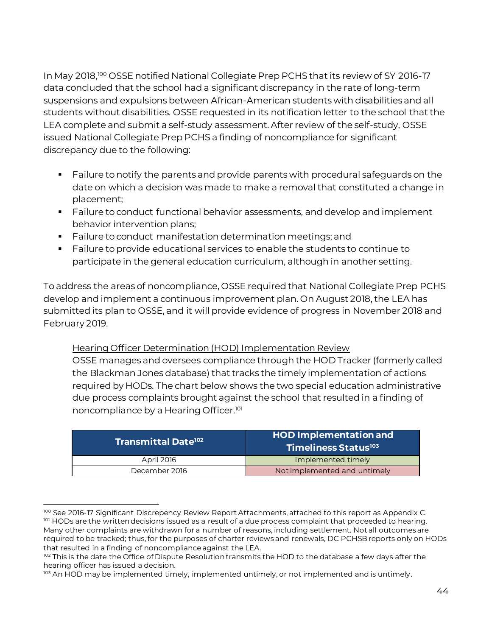In May 2018,<sup>100</sup> OSSE notified National Collegiate Prep PCHS that its review of SY 2016-17 data concluded that the school had a significant discrepancy in the rate of long-term suspensions and expulsions between African-American students with disabilities and all students without disabilities. OSSE requested in its notification letter to the school that the LEA complete and submit a self-study assessment. After review of the self-study, OSSE issued National Collegiate Prep PCHS a finding of noncompliance for significant discrepancy due to the following:

- Failure to notify the parents and provide parents with procedural safequards on the date on which a decision was made to make a removal that constituted a change in placement;
- Failure to conduct functional behavior assessments, and develop and implement behavior intervention plans;
- Failure to conduct manifestation determination meetings; and
- Failure to provide educational services to enable the students to continue to participate in the general education curriculum, although in another setting.

To address the areas of noncompliance, OSSE required that National Collegiate Prep PCHS develop and implement a continuous improvement plan. On August 2018, the LEA has submitted its plan to OSSE, and it will provide evidence of progress in November 2018 and February 2019.

Hearing Officer Determination (HOD) Implementation Review OSSE manages and oversees compliance through the HOD Tracker (formerly called the Blackman Jones database) that tracks the timely implementation of actions required by HODs. The chart below shows the two special education administrative due process complaints brought against the school that resulted in a finding of noncompliance by a Hearing Officer.<sup>101</sup>

| $\overline{\rm{1}}$ Transmittal Date $^{\rm{102}}$ | <b>HOD Implementation and</b><br>Timeliness Status <sup>103</sup> |  |  |
|----------------------------------------------------|-------------------------------------------------------------------|--|--|
| April 2016                                         | Implemented timely                                                |  |  |
| December 2016                                      | Not implemented and untimely                                      |  |  |

l 100 See 2016-17 Significant Discrepency Review Report Attachments, attached to this report as Appendix C. 101 HODs are the written decisions issued as a result of a due process complaint that proceeded to hearing. Many other complaints are withdrawn for a number of reasons, including settlement. Not all outcomes are required to be tracked; thus, for the purposes of charter reviews and renewals, DC PCHSB reports only on HODs that resulted in a finding of noncompliance against the LEA.

<sup>102</sup> This is the date the Office of Dispute Resolution transmits the HOD to the database a few days after the hearing officer has issued a decision.

<sup>103</sup> An HOD may be implemented timely, implemented untimely, or not implemented and is untimely.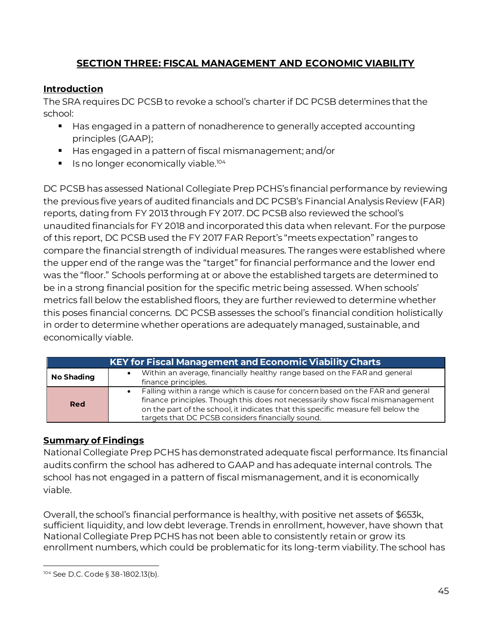# **SECTION THREE: FISCAL MANAGEMENT AND ECONOMIC VIABILITY**

# <span id="page-46-0"></span>**Introduction**

The SRA requires DC PCSB to revoke a school's charter if DC PCSB determines that the school:

- Has engaged in a pattern of nonadherence to generally accepted accounting principles (GAAP);
- Has engaged in a pattern of fiscal mismanagement; and/or
- **E** Is no longer economically viable.<sup>104</sup>

DC PCSB has assessed National Collegiate Prep PCHS's financial performance by reviewing the previous five years of audited financials and DC PCSB's Financial Analysis Review (FAR) reports, dating from FY 2013 through FY 2017. DC PCSB also reviewed the school's unaudited financials for FY 2018 and incorporated this data when relevant. For the purpose of this report, DC PCSB used the FY 2017 FAR Report's "meets expectation" ranges to compare the financial strength of individual measures. The ranges were established where the upper end of the range was the "target" for financial performance and the lower end was the "floor." Schools performing at or above the established targets are determined to be in a strong financial position for the specific metric being assessed. When schools' metrics fall below the established floors, they are further reviewed to determine whether this poses financial concerns. DC PCSB assesses the school's financial condition holistically in order to determine whether operations are adequately managed, sustainable, and economically viable.

|                   | <b>KEY for Fiscal Management and Economic Viability Charts</b>                                                                                                                                                                                                                                                          |
|-------------------|-------------------------------------------------------------------------------------------------------------------------------------------------------------------------------------------------------------------------------------------------------------------------------------------------------------------------|
| <b>No Shading</b> | Within an average, financially healthy range based on the FAR and general<br>finance principles.                                                                                                                                                                                                                        |
| <b>Red</b>        | Falling within a range which is cause for concern based on the FAR and general<br>$\bullet$<br>finance principles. Though this does not necessarily show fiscal mismanagement<br>on the part of the school, it indicates that this specific measure fell below the<br>targets that DC PCSB considers financially sound. |

# **Summary of Findings**

National Collegiate Prep PCHS has demonstrated adequate fiscal performance. Its financial audits confirm the school has adhered to GAAP and has adequate internal controls. The school has not engaged in a pattern of fiscal mismanagement, and it is economically viable.

Overall, the school's financial performance is healthy, with positive net assets of \$653k, sufficient liquidity, and low debt leverage. Trends in enrollment, however, have shown that National Collegiate Prep PCHS has not been able to consistently retain or grow its enrollment numbers, which could be problematic for its long-term viability. The school has

 $\overline{a}$ <sup>104</sup> See D.C. Code § 38-1802.13(b).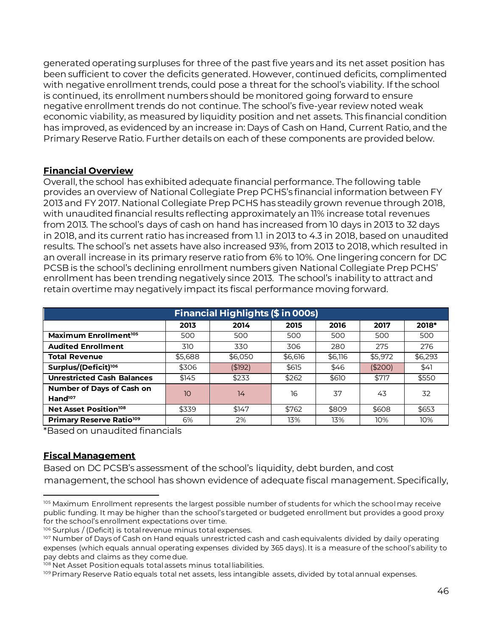generated operating surpluses for three of the past five years and its net asset position has been sufficient to cover the deficits generated. However, continued deficits, complimented with negative enrollment trends, could pose a threat for the school's viability. If the school is continued, its enrollment numbers should be monitored going forward to ensure negative enrollment trends do not continue. The school's five-year review noted weak economic viability, as measured by liquidity position and net assets. This financial condition has improved, as evidenced by an increase in: Days of Cash on Hand, Current Ratio, and the Primary Reserve Ratio. Further details on each of these components are provided below.

#### **Financial Overview**

Overall, the school has exhibited adequate financial performance. The following table provides an overview of National Collegiate Prep PCHS's financial information between FY 2013 and FY 2017. National Collegiate Prep PCHS has steadily grown revenue through 2018, with unaudited financial results reflecting approximately an 11% increase total revenues from 2013. The school's days of cash on hand has increased from 10 days in 2013 to 32 days in 2018, and its current ratio has increased from 1.1 in 2013 to 4.3 in 2018, based on unaudited results. The school's net assets have also increased 93%, from 2013 to 2018, which resulted in an overall increase in its primary reserve ratio from 6% to 10%. One lingering concern for DC PCSB is the school's declining enrollment numbers given National Collegiate Prep PCHS' enrollment has been trending negatively since 2013. The school's inability to attract and retain overtime may negatively impact its fiscal performance moving forward.

| <b>Financial Highlights (\$ in 000s)</b>      |                 |          |         |         |          |         |  |  |  |
|-----------------------------------------------|-----------------|----------|---------|---------|----------|---------|--|--|--|
| 2018*<br>2015<br>2016<br>2013<br>2014<br>2017 |                 |          |         |         |          |         |  |  |  |
| Maximum Enrollment <sup>105</sup>             | 500             | 500      | 500     | 500     | 500      | 500     |  |  |  |
| <b>Audited Enrollment</b>                     | 310             | 330      | 306     | 280     | 275      | 276     |  |  |  |
| <b>Total Revenue</b>                          | \$5,688         | \$6,050  | \$6,616 | \$6,116 | \$5,972  | \$6,293 |  |  |  |
| Surplus/(Deficit) <sup>106</sup>              | \$306           | ( \$192) | \$615   | \$46    | ( \$200) | \$41    |  |  |  |
| <b>Unrestricted Cash Balances</b>             | \$145           | \$233    | \$262   | \$610   | \$717    | \$550   |  |  |  |
| Number of Days of Cash on                     | 10 <sup>°</sup> | 14       | 16      | 37      | 43       | 32      |  |  |  |
| Hand <sup>107</sup>                           |                 |          |         |         |          |         |  |  |  |
| Net Asset Position <sup>108</sup>             | \$339           | \$147    | \$762   | \$809   | \$608    | \$653   |  |  |  |
| Primary Reserve Ratio <sup>109</sup>          | 6%              | 2%       | 13%     | 13%     | 10%      | 10%     |  |  |  |

\*Based on unaudited financials

#### **Fiscal Management**

Based on DC PCSB's assessment of the school's liquidity, debt burden, and cost management, the school has shown evidence of adequate fiscal management. Specifically,

l 105 Maximum Enrollment represents the largest possible number of students for which the school may receive public funding. It may be higher than the school's targeted or budgeted enrollment but provides a good proxy for the school's enrollment expectations over time.

<sup>106</sup> Surplus / (Deficit) is total revenue minus total expenses.

<sup>107</sup> Number of Days of Cash on Hand equals unrestricted cash and cash equivalents divided by daily operating expenses (which equals annual operating expenses divided by 365 days). It is a measure of the school's ability to pay debts and claims as they come due.

<sup>108</sup> Net Asset Position equals total assets minus total liabilities.

<sup>109</sup> Primary Reserve Ratio equals total net assets, less intangible assets, divided by total annual expenses.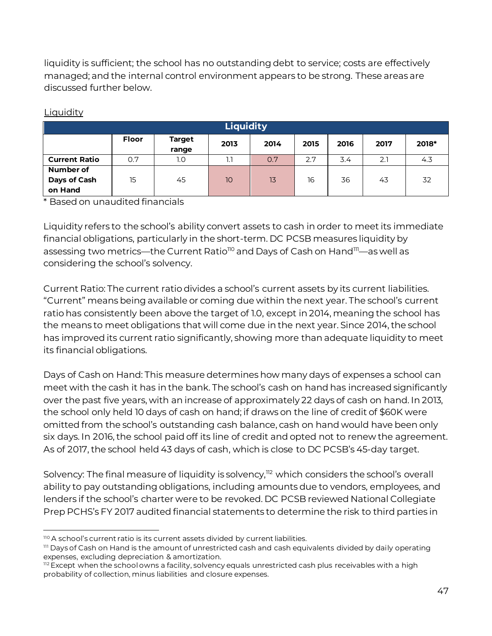liquidity is sufficient; the school has no outstanding debt to service; costs are effectively managed; and the internal control environment appears to be strong. These areas are discussed further below.

| <b>Liquidity</b>                     |       |                        |      |      |      |      |      |       |  |
|--------------------------------------|-------|------------------------|------|------|------|------|------|-------|--|
|                                      | Floor | <b>Target</b><br>range | 2013 | 2014 | 2015 | 2016 | 2017 | 2018* |  |
| <b>Current Ratio</b>                 | 0.7   | 1.0                    | 1.1  | 0.7  | 2.7  | 3.4  | 2.1  | 4.3   |  |
| Number of<br>Days of Cash<br>on Hand | 15    | 45                     | 10   | 13   | 16   | 36   | 43   | 32    |  |

#### **Liquidity**

\* Based on unaudited financials

Liquidity refers to the school's ability convert assets to cash in order to meet its immediate financial obligations, particularly in the short-term. DC PCSB measures liquidity by assessing two metrics—the Current Ratio<sup>110</sup> and Days of Cash on Hand<sup>111</sup>—as well as considering the school's solvency.

Current Ratio: The current ratio divides a school's current assets by its current liabilities. "Current" means being available or coming due within the next year. The school's current ratio has consistently been above the target of 1.0, except in 2014, meaning the school has the means to meet obligations that will come due in the next year. Since 2014, the school has improved its current ratio significantly, showing more than adequate liquidity to meet its financial obligations.

Days of Cash on Hand: This measure determines how many days of expenses a school can meet with the cash it has in the bank. The school's cash on hand has increased significantly over the past five years, with an increase of approximately 22 days of cash on hand. In 2013, the school only held 10 days of cash on hand; if draws on the line of credit of \$60K were omitted from the school's outstanding cash balance, cash on hand would have been only six days. In 2016, the school paid off its line of credit and opted not to renew the agreement. As of 2017, the school held 43 days of cash, which is close to DC PCSB's 45-day target.

Solvency: The final measure of liquidity is solvency,<sup>112</sup> which considers the school's overall ability to pay outstanding obligations, including amounts due to vendors, employees, and lenders if the school's charter were to be revoked. DC PCSB reviewed National Collegiate Prep PCHS's FY 2017 audited financial statements to determine the risk to third parties in

l 110 A school's current ratio is its current assets divided by current liabilities.

<sup>111</sup> Days of Cash on Hand is the amount of unrestricted cash and cash equivalents divided by daily operating expenses, excluding depreciation & amortization.

<sup>112</sup> Except when the school owns a facility, solvency equals unrestricted cash plus receivables with a high probability of collection, minus liabilities and closure expenses.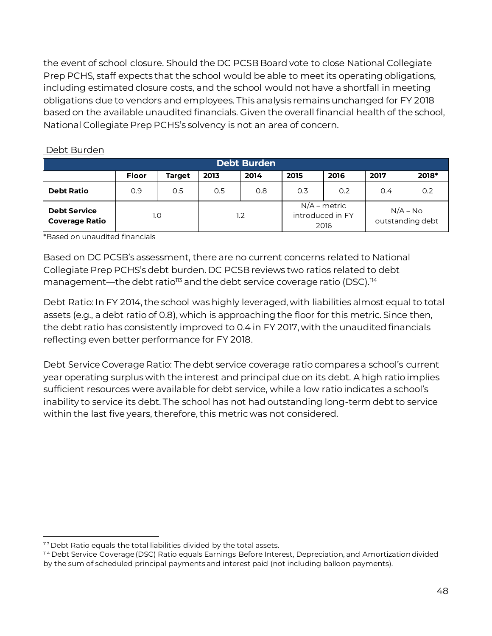the event of school closure. Should the DC PCSB Board vote to close National Collegiate Prep PCHS, staff expects that the school would be able to meet its operating obligations, including estimated closure costs, and the school would not have a shortfall in meeting obligations due to vendors and employees. This analysis remains unchanged for FY 2018 based on the available unaudited financials. Given the overall financial health of the school, National Collegiate Prep PCHS's solvency is not an area of concern.

| <b>Debt Burden</b>                           |              |               |      |      |      |                                            |                  |            |
|----------------------------------------------|--------------|---------------|------|------|------|--------------------------------------------|------------------|------------|
|                                              | <b>Floor</b> | <b>Target</b> | 2013 | 2014 | 2015 | 2016                                       | 2017             | 2018*      |
| <b>Debt Ratio</b>                            | 0.9          | 0.5           | 0.5  | 0.8  | 0.3  | 0.2                                        | 0.4              | 0.2        |
| <b>Debt Service</b><br><b>Coverage Ratio</b> |              | 1.0           |      | 1.2  |      | $N/A$ – metric<br>introduced in FY<br>2016 | outstanding debt | $N/A - No$ |

#### Debt Burden

\*Based on unaudited financials

Based on DC PCSB's assessment, there are no current concerns related to National Collegiate Prep PCHS's debt burden. DC PCSB reviews two ratios related to debt management—the debt ratio<sup>113</sup> and the debt service coverage ratio (DSC).<sup>114</sup>

Debt Ratio: In FY 2014, the school was highly leveraged, with liabilities almost equal to total assets (e.g., a debt ratio of 0.8), which is approaching the floor for this metric. Since then, the debt ratio has consistently improved to 0.4 in FY 2017, with the unaudited financials reflecting even better performance for FY 2018.

Debt Service Coverage Ratio: The debt service coverage ratio compares a school's current year operating surplus with the interest and principal due on its debt. A high ratio implies sufficient resources were available for debt service, while a low ratio indicates a school's inability to service its debt. The school has not had outstanding long-term debt to service within the last five years, therefore, this metric was not considered.

l 113 Debt Ratio equals the total liabilities divided by the total assets.

<sup>114</sup> Debt Service Coverage (DSC) Ratio equals Earnings Before Interest, Depreciation, and Amortization divided by the sum of scheduled principal payments and interest paid (not including balloon payments).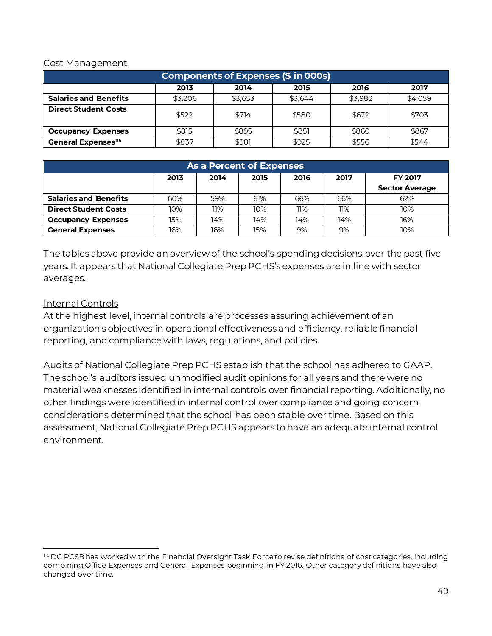#### Cost Management

| Components of Expenses (\$ in 000s)  |         |         |         |         |         |  |  |  |  |
|--------------------------------------|---------|---------|---------|---------|---------|--|--|--|--|
| 2016<br>2017<br>2013<br>2014<br>2015 |         |         |         |         |         |  |  |  |  |
| <b>Salaries and Benefits</b>         | \$3.206 | \$3.653 | \$3.644 | \$3.982 | \$4,059 |  |  |  |  |
| <b>Direct Student Costs</b>          | \$522   | \$714   | \$580   | \$672   | \$703   |  |  |  |  |
| <b>Occupancy Expenses</b>            | \$815   | \$895   | \$851   | \$860   | \$867   |  |  |  |  |
| General Expenses <sup>115</sup>      | \$837   | \$981   | \$925   | \$556   | \$544   |  |  |  |  |

| <b>As a Percent of Expenses</b> |      |      |      |      |      |                       |  |
|---------------------------------|------|------|------|------|------|-----------------------|--|
|                                 | 2013 | 2014 | 2015 | 2016 | 2017 | <b>FY 2017</b>        |  |
|                                 |      |      |      |      |      | <b>Sector Average</b> |  |
| <b>Salaries and Benefits</b>    | 60%  | 59%  | 61%  | 66%  | 66%  | 62%                   |  |
| <b>Direct Student Costs</b>     | 10%  | 11%  | 10%  | 11%  | 11%  | 10%                   |  |
| <b>Occupancy Expenses</b>       | 15%  | 14%  | 14%  | 14%  | 14%  | 16%                   |  |
| <b>General Expenses</b>         | 16%  | 16%  | 15%  | 9%   | 9%   | 10%                   |  |

The tables above provide an overview of the school's spending decisions over the past five years. It appears that National Collegiate Prep PCHS's expenses are in line with sector averages.

#### Internal Controls

At the highest level, internal controls are processes assuring achievement of an organization's objectives in operational effectiveness and efficiency, reliable financial reporting, and compliance with laws, regulations, and policies.

Audits of National Collegiate Prep PCHS establish that the school has adhered to GAAP. The school's auditors issued unmodified audit opinions for all years and there were no material weaknesses identified in internal controls over financial reporting. Additionally, no other findings were identified in internal control over compliance and going concern considerations determined that the school has been stable over time. Based on this assessment, National Collegiate Prep PCHS appears to have an adequate internal control environment.

l 115 DC PCSB has worked with the Financial Oversight Task Force to revise definitions of cost categories, including combining Office Expenses and General Expenses beginning in FY 2016. Other category definitions have also changed over time.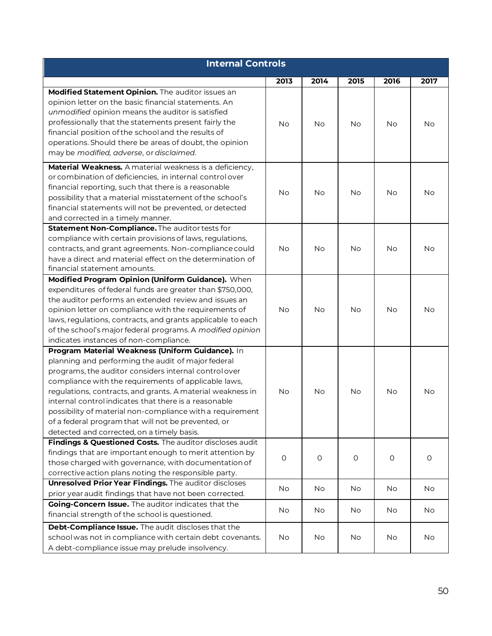| <b>Internal Controls</b>                                                                                         |           |           |           |      |           |  |  |  |
|------------------------------------------------------------------------------------------------------------------|-----------|-----------|-----------|------|-----------|--|--|--|
|                                                                                                                  | 2013      | 2014      | 2015      | 2016 | 2017      |  |  |  |
| Modified Statement Opinion. The auditor issues an                                                                |           |           |           |      |           |  |  |  |
| opinion letter on the basic financial statements. An                                                             |           |           |           |      |           |  |  |  |
| unmodified opinion means the auditor is satisfied                                                                |           |           |           |      |           |  |  |  |
| professionally that the statements present fairly the                                                            | <b>No</b> | <b>No</b> | No        | No   | <b>No</b> |  |  |  |
| financial position of the school and the results of                                                              |           |           |           |      |           |  |  |  |
| operations. Should there be areas of doubt, the opinion                                                          |           |           |           |      |           |  |  |  |
| may be modified, adverse, or disclaimed.                                                                         |           |           |           |      |           |  |  |  |
| Material Weakness. A material weakness is a deficiency,                                                          |           |           |           |      |           |  |  |  |
| or combination of deficiencies, in internal control over                                                         |           |           |           |      |           |  |  |  |
| financial reporting, such that there is a reasonable                                                             | No        | <b>No</b> | <b>No</b> | No   | No.       |  |  |  |
| possibility that a material misstatement of the school's                                                         |           |           |           |      |           |  |  |  |
| financial statements will not be prevented, or detected                                                          |           |           |           |      |           |  |  |  |
| and corrected in a timely manner.                                                                                |           |           |           |      |           |  |  |  |
| Statement Non-Compliance. The auditor tests for                                                                  |           |           |           |      |           |  |  |  |
| compliance with certain provisions of laws, regulations,                                                         |           |           |           |      |           |  |  |  |
| contracts, and grant agreements. Non-compliance could                                                            | <b>No</b> | No        | <b>No</b> | No.  | No.       |  |  |  |
| have a direct and material effect on the determination of                                                        |           |           |           |      |           |  |  |  |
| financial statement amounts.                                                                                     |           |           |           |      |           |  |  |  |
| Modified Program Opinion (Uniform Guidance). When                                                                |           |           |           |      |           |  |  |  |
| expenditures of federal funds are greater than \$750,000,                                                        |           |           |           |      |           |  |  |  |
| the auditor performs an extended review and issues an                                                            |           |           |           |      |           |  |  |  |
| opinion letter on compliance with the requirements of                                                            | <b>No</b> | <b>No</b> | <b>No</b> | No   | <b>No</b> |  |  |  |
| laws, regulations, contracts, and grants applicable to each                                                      |           |           |           |      |           |  |  |  |
| of the school's major federal programs. A modified opinion                                                       |           |           |           |      |           |  |  |  |
| indicates instances of non-compliance.                                                                           |           |           |           |      |           |  |  |  |
| Program Material Weakness (Uniform Guidance). In                                                                 |           |           |           |      |           |  |  |  |
| planning and performing the audit of major federal                                                               |           |           |           |      |           |  |  |  |
| programs, the auditor considers internal controlover                                                             |           |           |           |      |           |  |  |  |
| compliance with the requirements of applicable laws,                                                             |           |           |           |      |           |  |  |  |
| regulations, contracts, and grants. A material weakness in                                                       | <b>No</b> | No        | No        | No   | No.       |  |  |  |
| internal control indicates that there is a reasonable                                                            |           |           |           |      |           |  |  |  |
| possibility of material non-compliance with a requirement                                                        |           |           |           |      |           |  |  |  |
| of a federal program that will not be prevented, or                                                              |           |           |           |      |           |  |  |  |
| detected and corrected, on a timely basis.                                                                       |           |           |           |      |           |  |  |  |
| Findings & Questioned Costs. The auditor discloses audit                                                         |           |           |           |      |           |  |  |  |
| findings that are important enough to merit attention by                                                         | $\circ$   | $\circ$   | $\circ$   | 0    | 0         |  |  |  |
| those charged with governance, with documentation of                                                             |           |           |           |      |           |  |  |  |
| corrective action plans noting the responsible party.                                                            |           |           |           |      |           |  |  |  |
| Unresolved Prior Year Findings. The auditor discloses<br>prior year audit findings that have not been corrected. | No        | No        | No        | No   | No        |  |  |  |
| Going-Concern Issue. The auditor indicates that the                                                              |           |           |           |      |           |  |  |  |
| financial strength of the school is questioned.                                                                  | No        | No        | No        | No.  | No        |  |  |  |
| Debt-Compliance Issue. The audit discloses that the                                                              |           |           |           |      |           |  |  |  |
| school was not in compliance with certain debt covenants.                                                        | No        | No        | No        | No   | No        |  |  |  |
| A debt-compliance issue may prelude insolvency.                                                                  |           |           |           |      |           |  |  |  |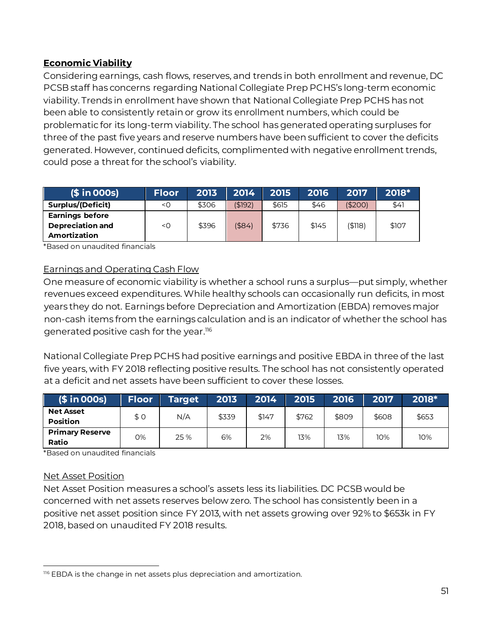# **Economic Viability**

Considering earnings, cash flows, reserves, and trends in both enrollment and revenue, DC PCSB staff has concerns regarding National Collegiate Prep PCHS's long-term economic viability. Trends in enrollment have shown that National Collegiate Prep PCHS has not been able to consistently retain or grow its enrollment numbers, which could be problematic for its long-term viability. The school has generated operating surpluses for three of the past five years and reserve numbers have been sufficient to cover the deficits generated. However, continued deficits, complimented with negative enrollment trends, could pose a threat for the school's viability.

| $($ in OOS)$                                                      | <b>Floor</b> | 2013  | 2014      | 2015  | 2016  | 2017    | 2018* |
|-------------------------------------------------------------------|--------------|-------|-----------|-------|-------|---------|-------|
| Surplus/(Deficit)                                                 | $<$ O        | \$306 | (\$192)   | \$615 | \$46  | (\$200) | \$41  |
| <b>Earnings before</b><br><b>Depreciation and</b><br>Amortization | $<$ O        | \$396 | $($ \$84) | \$736 | \$145 | (\$118) | \$107 |

\*Based on unaudited financials

#### Earnings and Operating Cash Flow

One measure of economic viability is whether a school runs a surplus—put simply, whether revenues exceed expenditures. While healthy schools can occasionally run deficits, in most years they do not. Earnings before Depreciation and Amortization (EBDA) removes major non-cash items from the earnings calculation and is an indicator of whether the school has generated positive cash for the year. 116

National Collegiate Prep PCHS had positive earnings and positive EBDA in three of the last five years, with FY 2018 reflecting positive results. The school has not consistently operated at a deficit and net assets have been sufficient to cover these losses.

| $(\$ in OOS)$                       | Floor | <b>Target</b> | 2013  | 2014  | 2015  | 2016  | 2017  | 2018* |
|-------------------------------------|-------|---------------|-------|-------|-------|-------|-------|-------|
| <b>Net Asset</b><br><b>Position</b> | \$0   | N/A           | \$339 | \$147 | \$762 | \$809 | \$608 | \$653 |
| <b>Primary Reserve</b><br>Ratio     | 0%    | 25 %          | 6%    | 2%    | 13%   | 13%   | 10%   | 10%   |

\*Based on unaudited financials

#### Net Asset Position

Net Asset Position measures a school's assets less its liabilities. DC PCSB would be concerned with net assets reserves below zero. The school has consistently been in a positive net asset position since FY 2013, with net assets growing over 92% to \$653k in FY 2018, based on unaudited FY 2018 results.

 $\overline{a}$ 116 EBDA is the change in net assets plus depreciation and amortization.